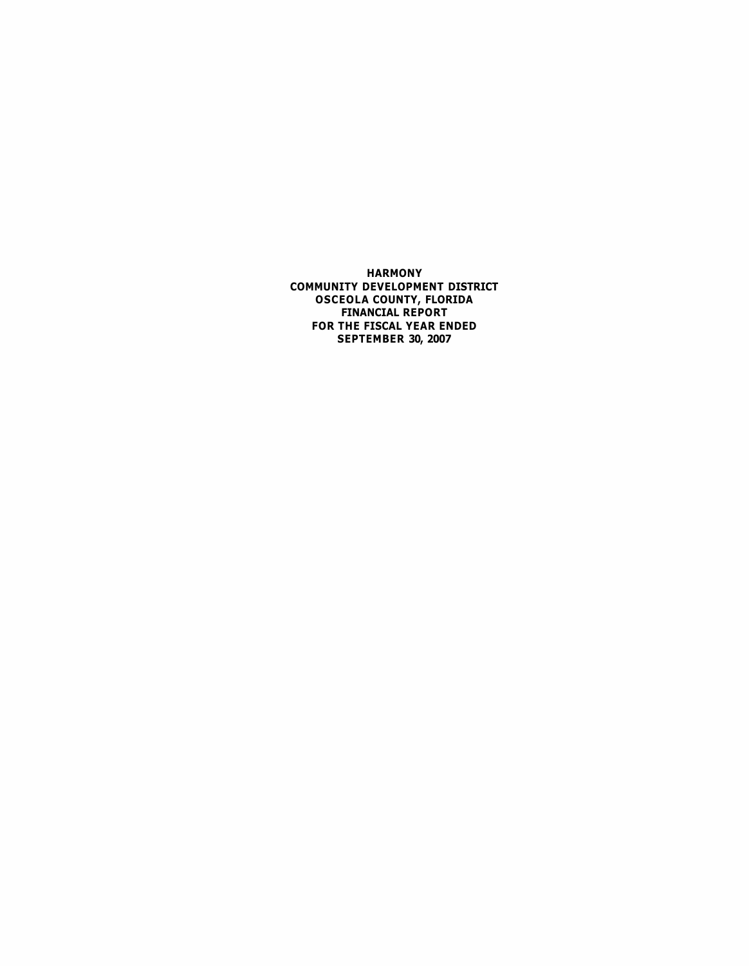**HARMONY COMMUNITY DEVELOPMENT DISTRICT OSCEOLA COUNTY, FLORIDA FINANCIAL REPORT FOR THE FISCAL YEAR ENDED SEPTEMBER 30, 2007**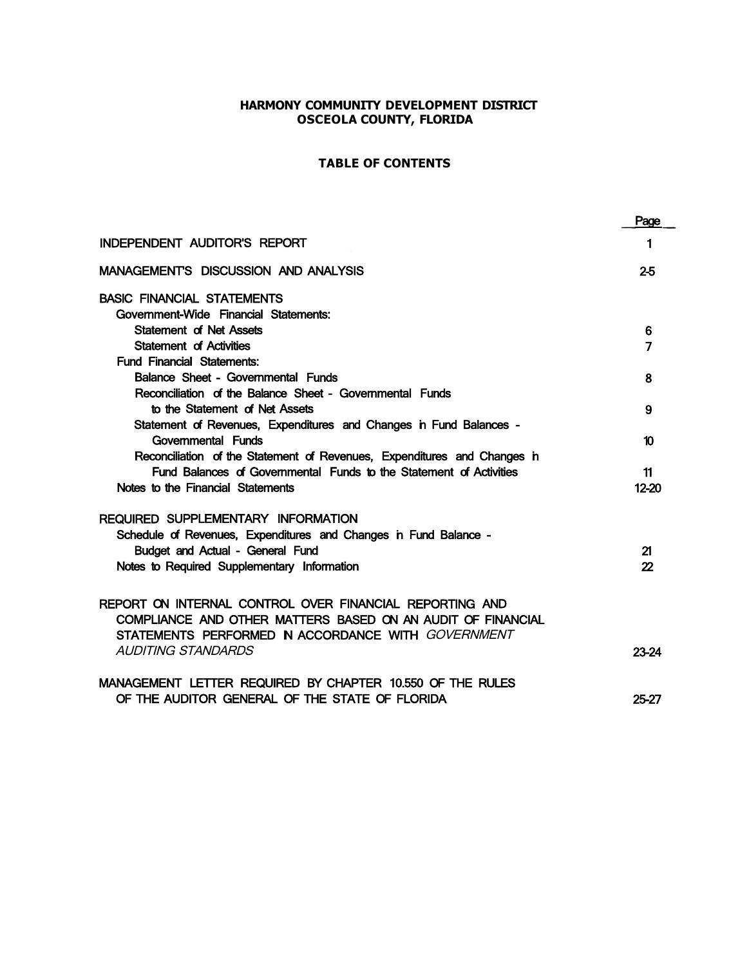# **HARMONY COMMUNITY DEVELOPMENT DISTRICT OSCEOLA COUNTY, FLORIDA**

# **TABLE OF CONTENTS**

|                                                                                                                                                                             | Page  |
|-----------------------------------------------------------------------------------------------------------------------------------------------------------------------------|-------|
| <b>INDEPENDENT AUDITOR'S REPORT</b>                                                                                                                                         | 1     |
| <b>MANAGEMENTS DISCUSSION AND ANALYSIS</b>                                                                                                                                  | 25    |
| <b>BASIC FINANCIAL STATEMENTS</b><br>Government-Wide Financial Statements:                                                                                                  |       |
| <b>Statement of Net Assets</b>                                                                                                                                              | 6     |
| Statement of Activities                                                                                                                                                     | 7     |
| <b>Fund Financial Statements:</b>                                                                                                                                           |       |
| Balance Sheet - Governmental Funds                                                                                                                                          | 8     |
| Reconciliation of the Balance Sheet - Governmental Funds                                                                                                                    |       |
| to the Statement of Net Assets                                                                                                                                              | 9     |
| Statement of Revenues, Expenditures and Changes in Fund Balances -                                                                                                          |       |
| Governmental Funds                                                                                                                                                          | 10    |
| Reconciliation of the Statement of Revenues, Expenditures and Changes in                                                                                                    |       |
| Fund Balances of Governmental Funds to the Statement of Activities                                                                                                          | 11    |
| Notes to the Financial Statements                                                                                                                                           | 12-20 |
| REQUIRED SUPPLEMENTARY INFORMATION                                                                                                                                          |       |
| Schedule of Revenues, Expenditures and Changes in Fund Balance -                                                                                                            |       |
| Budget and Actual - General Fund                                                                                                                                            | 21    |
| Notes to Required Supplementary Information                                                                                                                                 | 22    |
|                                                                                                                                                                             |       |
| REPORT ON INTERNAL CONTROL OVER FINANCIAL REPORTING AND<br>COMPLIANCE AND OTHER MATTERS BASED ON AN AUDIT OF FINANCIAL<br>STATEMENTS PERFORMED N ACCORDANCE WITH GOVERNMENT |       |
| <b>AUDITING STANDARDS</b>                                                                                                                                                   | 23-24 |
| MANAGEMENT LETTER REQUIRED BY CHAPTER 10.550 OF THE RULES                                                                                                                   |       |
| OF THE AUDITOR GENERAL OF THE STATE OF FLORIDA                                                                                                                              | 25-27 |
|                                                                                                                                                                             |       |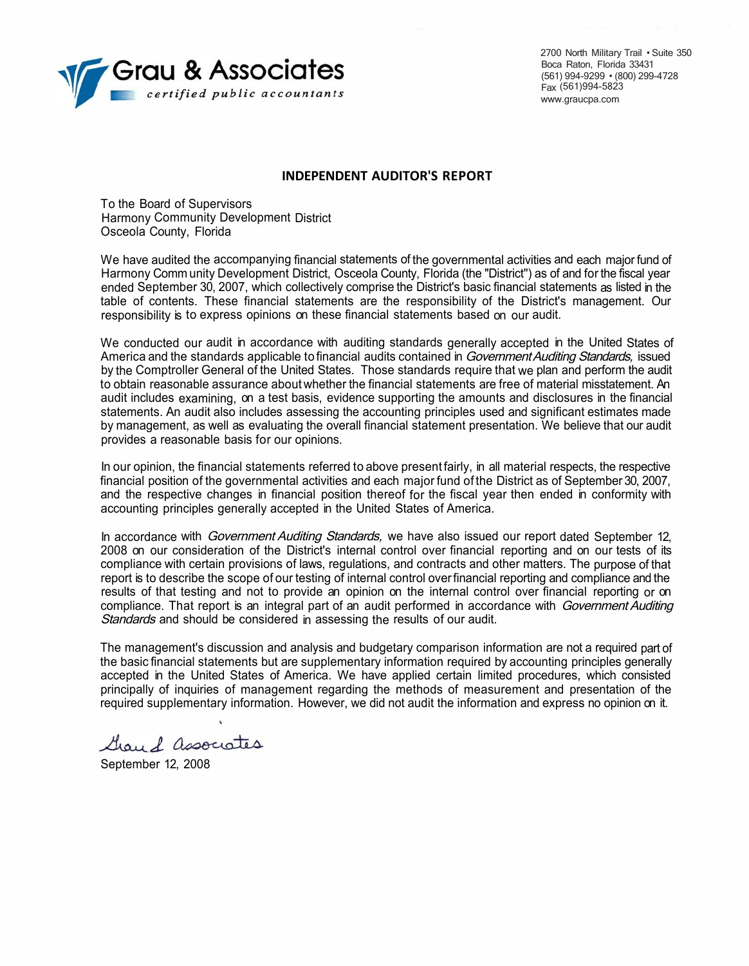

2700 North Military Trail • Suite 350 Boca Raton, Florida 33431 (561) 994-9299 • (800) 299-4728 Fax (561)994-5823 www.graucpa.com

#### **INDEPENDENT AUDITOR'S REPORT**

To the Board of Supervisors Harmony Community Development District Osceola County, Florida

We have audited the accompanying financial statements of the governmental activities and each major fund of Harmony Comm unity Development District, Osceola County, Florida (the "District'') as of and for the fiscal year ended September 30, 2007, which collectively comprise the District's basic financial statements as listed in the table of contents. These financial statements are the responsibility of the District's management. Our responsibility is to express opinions on these financial statements based on our audit.

We conducted our audit in accordance with auditing standards generally accepted in the United States of America and the standards applicable to financial audits contained in Government Auditing Standards, issued by the Comptroller General of the United States. Those standards require that we plan and perform the audit to obtain reasonable assurance about whether the financial statements are free of material misstatement. An audit includes examining, on a test basis, evidence supporting the amounts and disclosures in the financial statements. An audit also includes assessing the accounting principles used and significant estimates made by management, as well as evaluating the overall financial statement presentation. We believe that our audit provides a reasonable basis for our opinions.

In our opinion, the financial statements referred to above present fairly, in all material respects, the respective financial position of the governmental activities and each major fund of the District as of September 30, 2007, and the respective changes in financial position thereof for the fiscal year then ended in conformity with accounting principles generally accepted in the United States of America.

In accordance with Government Auditing Standards, we have also issued our report dated September 12, 2008 on our consideration of the District's internal control over financial reporting and on our tests of its compliance with certain provisions of laws, regulations, and contracts and other matters. The purpose of that report is to describe the scope of our testing of internal control overfinancial reporting and compliance and the results of that testing and not to provide an opinion on the internal control over financial reporting or on compliance. That report is an integral part of an audit performed in accordance with Government Auditing Standards and should be considered in assessing the results of our audit.

The management's discussion and analysis and budgetary comparison information are not a required part of the basic financial statements but are supplementary information required by accounting principles generally accepted in the United States of America. We have applied certain limited procedures, which consisted principally of inquiries of management regarding the methods of measurement and presentation of the required supplementary information. However, we did not audit the information and express no opinion on it.

Gray & associates

September 12, 2008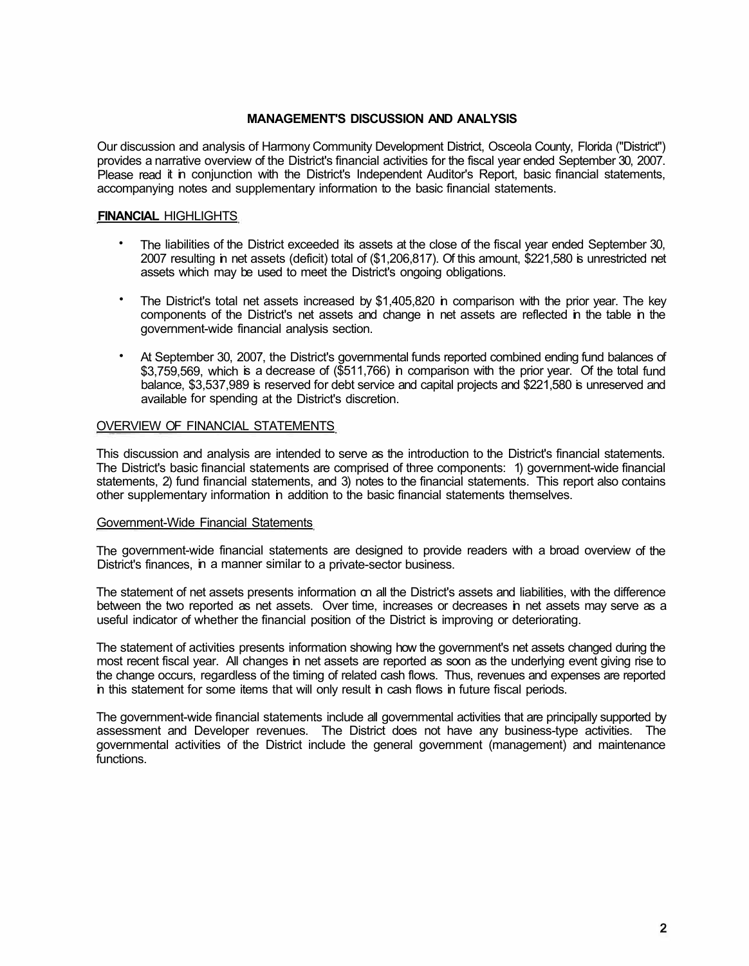# **MANAGEMENT'S DISCUSSION AND ANALYSIS**

Our discussion and analysis of Harmony Community Development District, Osceola County, Florida ("District") provides a narrative overview of the District's financial activities for the fiscal year ended September 30, 2007. Please read it in conjunction with the District's Independent Auditor's Report, basic financial statements, accompanying notes and supplementary information to the basic financial statements.

# **FINANCIAL** HIGHLIGHTS

- The liabilities of the District exceeded its assets at the close of the fiscal year ended September 30, 2007 resulting in net assets (deficit) total of (\$1,206,817). Of this amount, \$221,580 is unrestricted net assets which may be used to meet the District's ongoing obligations.
- The District's total net assets increased by \$1,405,820 in comparison with the prior year. The key components of the District's net assets and change in net assets are reflected in the table in the government-wide financial analysis section.
- At September 30, 2007, the District's governmental funds reported combined ending fund balances of \$3,759,569, which is a decrease of (\$511,766) in comparison with the prior year. Of the total fund balance, \$3,537,989 is reserved for debt service and capital projects and \$221,580 is unreserved and available for spending at the District's discretion.

# OVERVIEW OF FINANCIAL STATEMENTS

This discussion and analysis are intended to serve as the introduction to the District's financial statements. The District's basic financial statements are comprised of three components: 1) government-wide financial statements, 2) fund financial statements, and 3) notes to the financial statements. This report also contains other supplementary information in addition to the basic financial statements themselves.

# Government-Wide Financial Statements

The government-wide financial statements are designed to provide readers with a broad overview of the District's finances, in a manner similar to a private-sector business.

The statement of net assets presents information on all the District's assets and liabilities, with the difference between the two reported as net assets. Over time, increases or decreases in net assets may serve as a useful indicator of whether the financial position of the District is improving or deteriorating.

The statement of activities presents information showing how the government's net assets changed during the most recent fiscal year. All changes in net assets are reported as soon as the underlying event giving rise to the change occurs, regardless of the timing of related cash flows. Thus, revenues and expenses are reported in this statement for some items that will only result in cash flows in future fiscal periods.

The government-wide financial statements include all governmental activities that are principally supported by assessment and Developer revenues. The District does not have any business-type activities. The governmental activities of the District include the general government (management) and maintenance functions.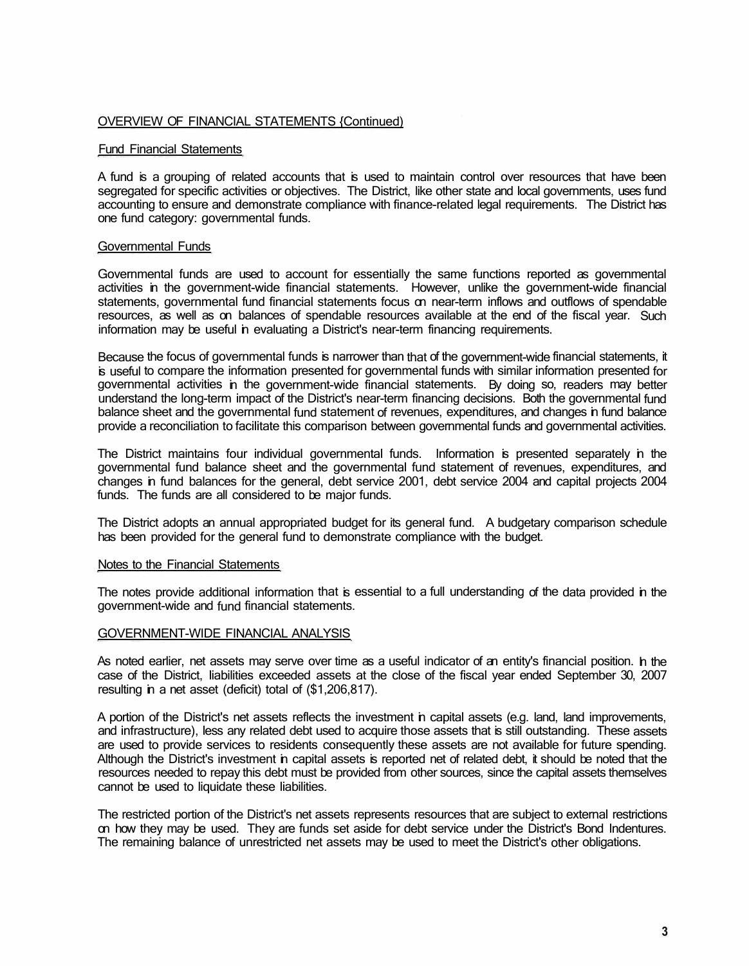### OVERVIEW OF FINANCIAL STATEMENTS {Continued)

# Fund Financial Statements

A fund is a grouping of related accounts that is used to maintain control over resources that have been segregated for specific activities or objectives. The District, like other state and local governments, uses fund accounting to ensure and demonstrate compliance with finance-related legal requirements. The District has one fund category: governmental funds.

# Governmental Funds

Governmental funds are used to account for essentially the same functions reported as governmental activities in the government-wide financial statements. However, unlike the government-wide financial statements, governmental fund financial statements focus on near-term inflows and outflows of spendable resources, as well as on balances of spendable resources available at the end of the fiscal year. Such information may be useful in evaluating a District's near-term financing requirements.

Because the focus of governmental funds is narrower than that of the government-wide financial statements, it is useful to compare the information presented for governmental funds with similar information presented for governmental activities in the government-wide financial statements. By doing so, readers may better understand the long-term impact of the District's near-term financing decisions. Both the governmental fund balance sheet and the governmental fund statement of revenues, expenditures, and changes in fund balance provide a reconciliation to facilitate this comparison between governmental funds and governmental activities.

The District maintains four individual governmental funds. Information is presented separately in the governmental fund balance sheet and the governmental fund statement of revenues, expenditures, and changes in fund balances for the general, debt service 2001, debt service 2004 and capital projects 2004 funds. The funds are all considered to be major funds.

The District adopts an annual appropriated budget for its general fund. A budgetary comparison schedule has been provided for the general fund to demonstrate compliance with the budget.

### Notes to the Financial Statements

The notes provide additional information that is essential to a full understanding of the data provided in the government-wide and fund financial statements.

### GOVERNMENT-WIDE FINANCIAL ANALYSIS

As noted earlier, net assets may serve over time as a useful indicator of an entity's financial position. In the case of the District, liabilities exceeded assets at the close of the fiscal year ended September 30, 2007 resulting in a net asset (deficit) total of (\$1,206,817).

A portion of the District's net assets reflects the investment in capital assets (e.g. land, land improvements, and infrastructure), less any related debt used to acquire those assets that is still outstanding. These assets are used to provide services to residents consequently these assets are not available for future spending. Although the District's investment in capital assets is reported net of related debt, it should be noted that the resources needed to repay this debt must be provided from other sources, since the capital assets themselves cannot be used to liquidate these liabilities.

The restricted portion of the District's net assets represents resources that are subject to external restrictions on how they may be used. They are funds set aside for debt service under the District's Bond Indentures. The remaining balance of unrestricted net assets may be used to meet the District's other obligations.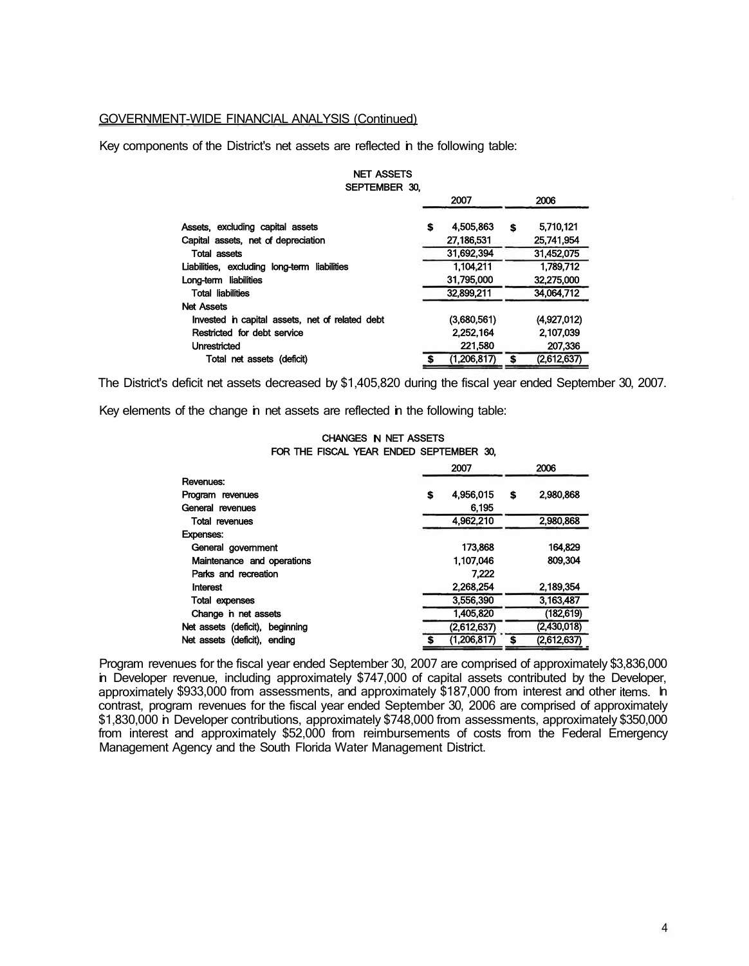### GOVERNMENT-WIDE FINANCIAL ANALYSIS (Continued)

Key components of the District's net assets are reflected in the following table:

| NEI AGOEIO                                      |   |             |   |             |
|-------------------------------------------------|---|-------------|---|-------------|
| SEPTEMBER 30,                                   |   |             |   |             |
|                                                 |   | 2007        |   | 2006        |
| Assets, excluding capital assets                | S | 4,505,863   | S | 5,710,121   |
| Capital assets, net of depreciation             |   | 27.186.531  |   | 25.741.954  |
| <b>Total assets</b>                             |   | 31.692.394  |   | 31,452,075  |
| Liabilities, excluding long-term liabilities    |   | 1.104.211   |   | 1.789.712   |
| Long-term liabilities                           |   | 31.795.000  |   | 32,275,000  |
| <b>Total liabilities</b>                        |   | 32,899,211  |   | 34,064,712  |
| <b>Net Assets</b>                               |   |             |   |             |
| Invested in capital assets, net of related debt |   | (3,680,561) |   | (4.927.012) |
| Restricted for debt service                     |   | 2,252,164   |   | 2,107,039   |
| <b>Unrestricted</b>                             |   | 221,580     |   | 207.336     |
| Total net assets (deficit)                      |   | (1,206,817) | S | (2,612,637) |
|                                                 |   |             |   |             |

NET ASSETS

The District's deficit net assets decreased by \$1,405,820 during the fiscal year ended September 30, 2007.

Key elements of the change in net assets are reflected in the following table:

#### CHANGES IN NET ASSETS FOR THE FISCAL YEAR ENDED SEPTEMBER 30,

|                                 |   | 2007        | 2006 |             |  |
|---------------------------------|---|-------------|------|-------------|--|
| Revenues:                       |   |             |      |             |  |
| Program revenues                | S | 4.956.015   | S    | 2.980,868   |  |
| General revenues                |   | 6.195       |      |             |  |
| <b>Total revenues</b>           |   | 4,962,210   |      | 2,980,868   |  |
| <b>Expenses:</b>                |   |             |      |             |  |
| General government              |   | 173,868     |      | 164,829     |  |
| Maintenance and operations      |   | 1.107.046   |      | 809.304     |  |
| Parks and recreation            |   | 7.222       |      |             |  |
| Interest                        |   | 2.268.254   |      | 2.189.354   |  |
| <b>Total expenses</b>           |   | 3,556,390   |      | 3,163,487   |  |
| Change in net assets            |   | 1,405,820   |      | (182, 619)  |  |
| Net assets (deficit), beginning |   | (2.612.637) |      | (2,430,018) |  |
| Net assets (deficit), ending    |   | (1,206,817) | \$   | (2,612,637) |  |
|                                 |   |             |      |             |  |

Program revenues for the fiscal year ended September 30, 2007 are comprised of approximately \$3,836,000 in Developer revenue, including approximately \$747,000 of capital assets contributed by the Developer, approximately \$933,000 from assessments, and approximately \$187,000 from interest and other items. In contrast, program revenues for the fiscal year ended September 30, 2006 are comprised of approximately \$1,830,000 n Developer contributions, approximately \$748,000 from assessments, approximately \$350,000 from interest and approximately \$52,000 from reimbursements of costs from the Federal Emergency Management Agency and the South Florida Water Management District.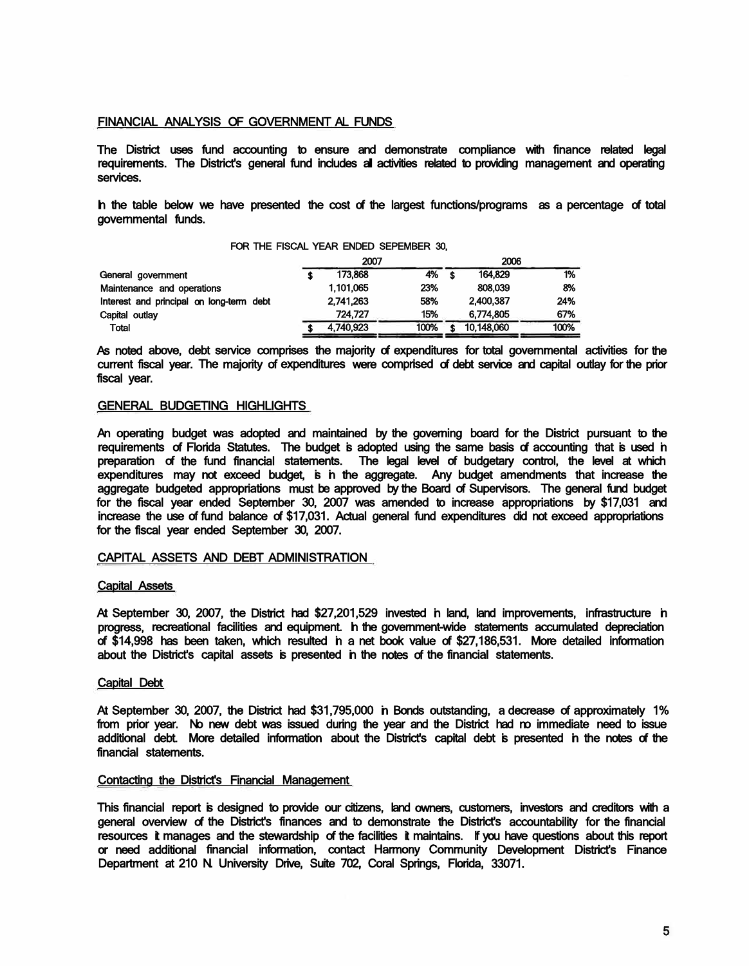### FINANCIAL ANALYSIS OF GOVERNMENT AL FUNDS

The District uses fund accounting to ensure and demonstrate compliance with finance related legal requirements. The District's general fund includes all activities related to providing management and operating services.

In the table below we have presented the cost of the largest functions/programs as a percentage of total governmental funds.

#### FOR THE FISCAL YEAR ENDED SEPEMBER 30,

|           | 2007      |      | 2006    |            |      |  |
|-----------|-----------|------|---------|------------|------|--|
|           | 173,868   |      |         | 164.829    | 1%   |  |
| 1.101.065 |           | 23%  | 808.039 |            | 8%   |  |
|           | 2.741.263 | 58%  |         | 2.400.387  | 24%  |  |
|           | 724.727   | 15%  |         | 6.774.805  | 67%  |  |
|           | 4.740.923 | 100% |         | 10.148,060 | 100% |  |
|           |           |      |         | 4% \$      |      |  |

As noted above, debt service comprises the majority of expenditures for total governmental activities for the current fiscal year. The majority of expenditures were comprised of debt service and capital outlay for the prior fiscal year.

### GENERAL BUDGETING HIGHLIGHTS

An operating budget was adopted and maintained by the governing board for the District pursuant to the requirements of Florida Statutes. The budget is adopted using the same basis of accounting that is used in preparation of the fund financial statements. The legal level of budgetary control, the level at which expenditures may not exceed budget, is in the aggregate. Any budget amendments that increase the aggregate budgeted appropriations must be approved by the Board of Supervisors. The general fund budget for the fiscal year ended September 30, 2007 was amended to increase appropriations by \$17,031 and increase the use of fund balance of \$17,031. Actual general fund expenditures did not exceed appropriations for the fiscal year ended September 30, 2007.

#### CAPITAL ASSETS AND DEBT ADMINISTRATION

#### Capital Assets

At September 30, 2007, the District had \$27,201,529 invested in land, land improvements, infrastructure in progress, recreational facilities and equipment. In the government-wide statements accumulated depreciation of \$14,998 has been taken, which resulted in a net book value of \$27,186,531. More detailed information about the District's capital assets is presented in the notes of the financial statements.

#### Capital Debt

At September 30, 2007, the District had \$31,795,000 in Bonds outstanding, a decrease of approximately 1% from prior year. No new debt was issued during the year and the District had no immediate need to issue additional debt. More detailed information about the District's capital debt is presented in the notes of the financial statements.

#### Contacting the District's Financial Management

This financial report is designed to provide our citizens, land owners, customers, investors and creditors with a general overview of the District's finances and to demonstrate the District's accountability for the financial resources it manages and the stewardship of the facilities it maintains. If you have questions about this report or need additional financial information, contact Harmony Community Development District's Finance Department at 210 N. University Drive, Suite 702, Coral Springs, Florida, 33071.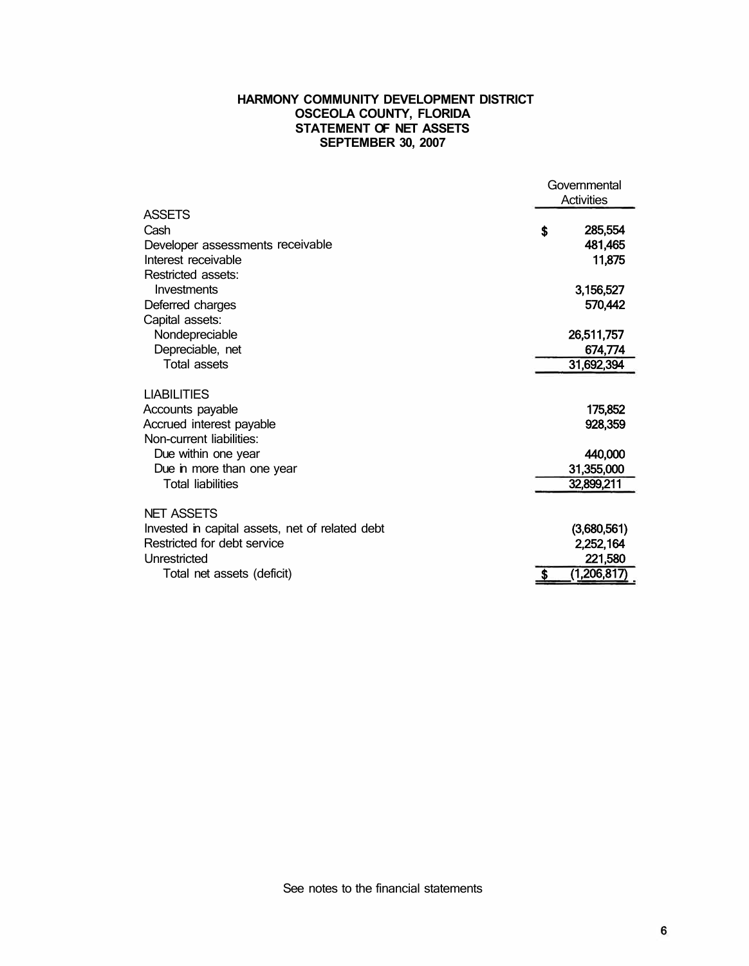# **HARMONY COMMUNITY DEVELOPMENT DISTRICT OSCEOLA COUNTY, FLORIDA STATEMENT OF NET ASSETS SEPTEMBER 30, 2007**

|                                                 | Governmental<br><b>Activities</b> |
|-------------------------------------------------|-----------------------------------|
| <b>ASSETS</b>                                   |                                   |
| Cash                                            | \$<br>285,554                     |
| Developer assessments receivable                | 481,465                           |
| Interest receivable                             | 11,875                            |
| Restricted assets:                              |                                   |
| Investments                                     | 3,156,527                         |
| Deferred charges                                | 570,442                           |
| Capital assets:                                 |                                   |
| Nondepreciable                                  | 26,511,757                        |
| Depreciable, net                                | 674,774                           |
| Total assets                                    | 31,692,394                        |
| <b>LIABILITIES</b>                              |                                   |
| Accounts payable                                | 175,852                           |
| Accrued interest payable                        | 928,359                           |
| Non-current liabilities:                        |                                   |
| Due within one year                             | 440,000                           |
| Due in more than one year                       | 31,355,000                        |
| <b>Total liabilities</b>                        | 32,899,211                        |
|                                                 |                                   |
| <b>NET ASSETS</b>                               |                                   |
| Invested in capital assets, net of related debt | (3,680,561)                       |
| Restricted for debt service                     | 2,252,164                         |
| Unrestricted                                    | 221,580                           |
| Total net assets (deficit)                      | \$<br>(1,206,817)                 |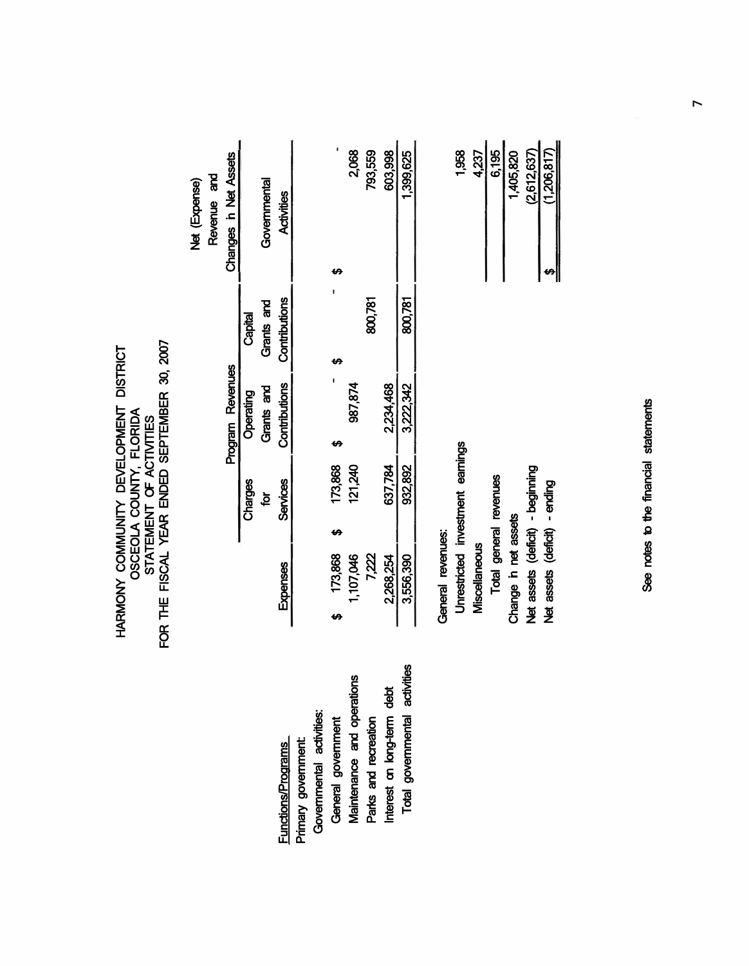| موم    | کے |
|--------|----|
|        |    |
| q<br>Ĩ |    |
|        |    |
|        |    |

| Changes in Net Assets |           | Governmental | Activities                  |  |
|-----------------------|-----------|--------------|-----------------------------|--|
|                       | Capital   | Grants and   |                             |  |
| Program Revenues      | Operating | Grants and   | Contributions Contributions |  |
|                       | Charges   |              | <b>Services</b>             |  |
|                       |           |              | <b>Expenses</b>             |  |

Functions/Programs Primary government:

Primary government: **Functions/Programs** 

Governmental activities: General government

General government

Governmental activities:

Maintenance and operations

Maintenance and operations

Parks and recreation Interest on long-term debt Total governmental activities

Parks and recreation

Total governmental activities

Interest on long-term debt

| ï |
|---|
| Į |
|   |
|   |

| 1,958                                   | $\frac{23}{2}$              | $rac{6,195}{1}$        | 1,405,820            | (2,612,637)                      | (1,206,817)                   |
|-----------------------------------------|-----------------------------|------------------------|----------------------|----------------------------------|-------------------------------|
| <b>Jnrestricted investment earnings</b> | <i><b>Miscellaneous</b></i> | Total general revenues | Change in net assets | Net assets (deficit) - beginning | Net assets (deficit) - ending |

See notes to the financial statements See notes to the financial statements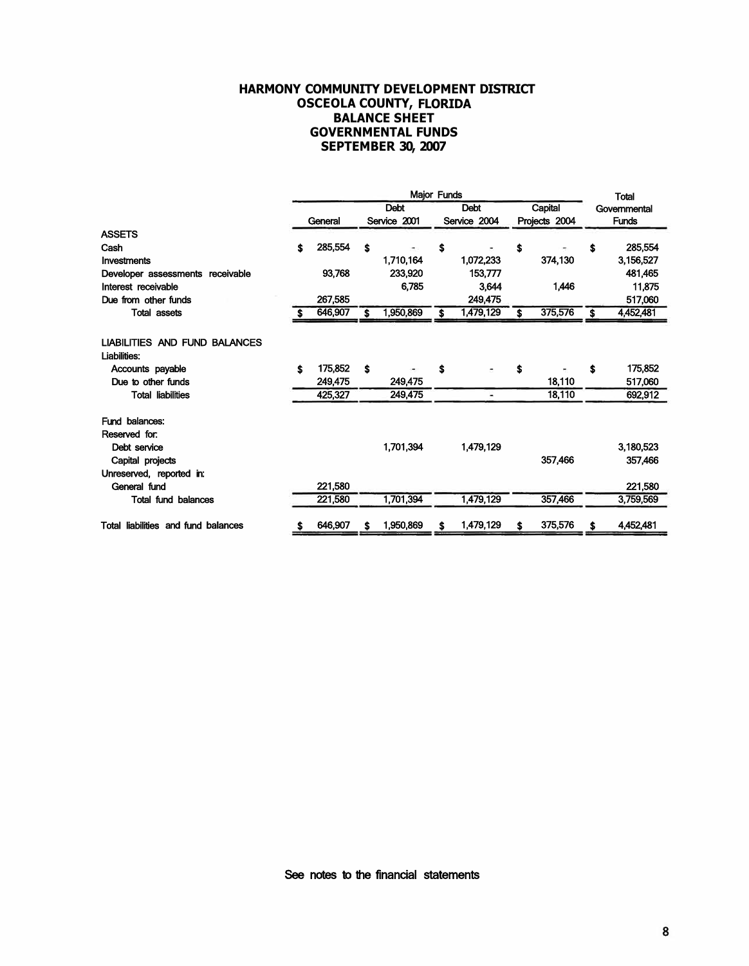# **HARMONY COMMUNITY DEVELOPMENT DISTRICT OSCEOLA COUNTY, FLORIDA BALANCE SHEET GOVERNMENTAL FUNDS SEPTEMBER 30, 2007**

|                                                      | Major Funds |         |              |             |              |           | <b>Total</b>  |              |              |           |
|------------------------------------------------------|-------------|---------|--------------|-------------|--------------|-----------|---------------|--------------|--------------|-----------|
|                                                      | <b>Debt</b> |         |              | <b>Debt</b> |              | Capital   |               | Governmental |              |           |
|                                                      |             | General | Service 2001 |             | Service 2004 |           | Projects 2004 |              | <b>Funds</b> |           |
| <b>ASSETS</b>                                        |             |         |              |             |              |           |               |              |              |           |
| Cash                                                 | \$          | 285,554 | \$           |             | \$           |           | \$            |              | \$           | 285,554   |
| Investments                                          |             |         |              | 1,710,164   |              | 1,072,233 |               | 374,130      |              | 3,156,527 |
| Developer assessments receivable                     |             | 93,768  |              | 233,920     |              | 153,777   |               |              |              | 481,465   |
| Interest receivable                                  |             |         |              | 6,785       |              | 3.644     |               | 1,446        |              | 11,875    |
| Due from other funds                                 |             | 267.585 |              |             |              | 249.475   |               |              |              | 517,060   |
| <b>Total assets</b>                                  |             | 646,907 | Ŝ            | 1,950,869   |              | 1,479,129 | \$            | 375,576      | \$           | 4,452,481 |
| <b>LIABILITIES AND FUND BALANCES</b><br>Liabilities: |             |         |              |             |              |           |               |              |              |           |
| Accounts payable                                     | \$          | 175,852 | \$           |             | \$           |           | Ŝ             |              | S            | 175,852   |
| Due to other funds                                   |             | 249,475 |              | 249,475     |              |           |               | 18,110       |              | 517,060   |
| <b>Total liabilities</b>                             |             | 425,327 |              | 249,475     |              | ۰         |               | 18,110       |              | 692,912   |
| Fund balances:<br>Reserved for:                      |             |         |              |             |              |           |               |              |              |           |
| Debt service                                         |             |         |              | 1,701,394   |              | 1,479,129 |               |              |              | 3,180,523 |
| Capital projects                                     |             |         |              |             |              |           |               | 357,466      |              | 357,466   |
| Unreserved, reported in:                             |             |         |              |             |              |           |               |              |              |           |
| General fund                                         |             | 221,580 |              |             |              |           |               |              |              | 221,580   |
| <b>Total fund balances</b>                           |             | 221,580 |              | 1,701,394   |              | 1,479,129 |               | 357,466      |              | 3,759,569 |
| Total liabilities and fund balances                  | S           | 646,907 | S            | 1,950,869   | \$           | 1,479,129 | S             | 375,576      | \$           | 4,452,481 |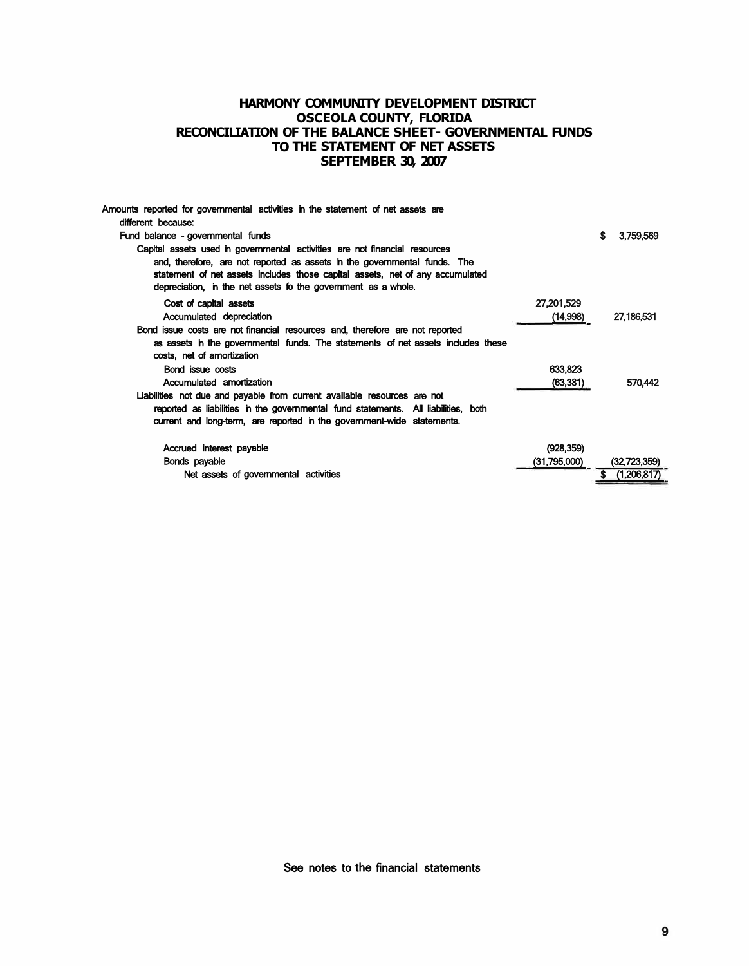### **HARMONY COMMUNITY DEVELOPMENT DISTRICT OSCEOLA COUNTY, FLORIDA RECONCILIATION OF THE BALANCE SHEET- GOVERNMENTAL FUNDS TO THE STATEMENT OF NET ASSETS SEPTEMBER 30, 2007**

| Amounts reported for governmental activities in the statement of net assets are    |              |                  |
|------------------------------------------------------------------------------------|--------------|------------------|
| different because:                                                                 |              |                  |
| Fund balance - governmental funds                                                  |              | s<br>3,759,569   |
| Capital assets used in governmental activities are not financial resources         |              |                  |
| and, therefore, are not reported as assets in the governmental funds. The          |              |                  |
| statement of net assets includes those capital assets, net of any accumulated      |              |                  |
| depreciation, in the net assets to the government as a whole.                      |              |                  |
| Cost of capital assets                                                             | 27,201,529   |                  |
| Accumulated depreciation                                                           | (14,998)     | 27,186,531       |
| Bond issue costs are not financial resources and, therefore are not reported       |              |                  |
| as assets in the governmental funds. The statements of net assets includes these   |              |                  |
| costs, net of amortization                                                         |              |                  |
| Bond issue costs                                                                   | 633,823      |                  |
| Accumulated amortization                                                           | (63,381)     | 570,442          |
| Liabilities not due and payable from current available resources are not           |              |                  |
| reported as liabilities in the governmental fund statements. All liabilities, both |              |                  |
| current and long-term, are reported in the government-wide statements.             |              |                  |
| Accrued interest payable                                                           | (928, 359)   |                  |
| Bonds payable                                                                      | (31,795,000) | (32,723,359)     |
| Net assets of governmental activities                                              |              | (1.206.817)<br>S |
|                                                                                    |              |                  |

See notes to the financial statements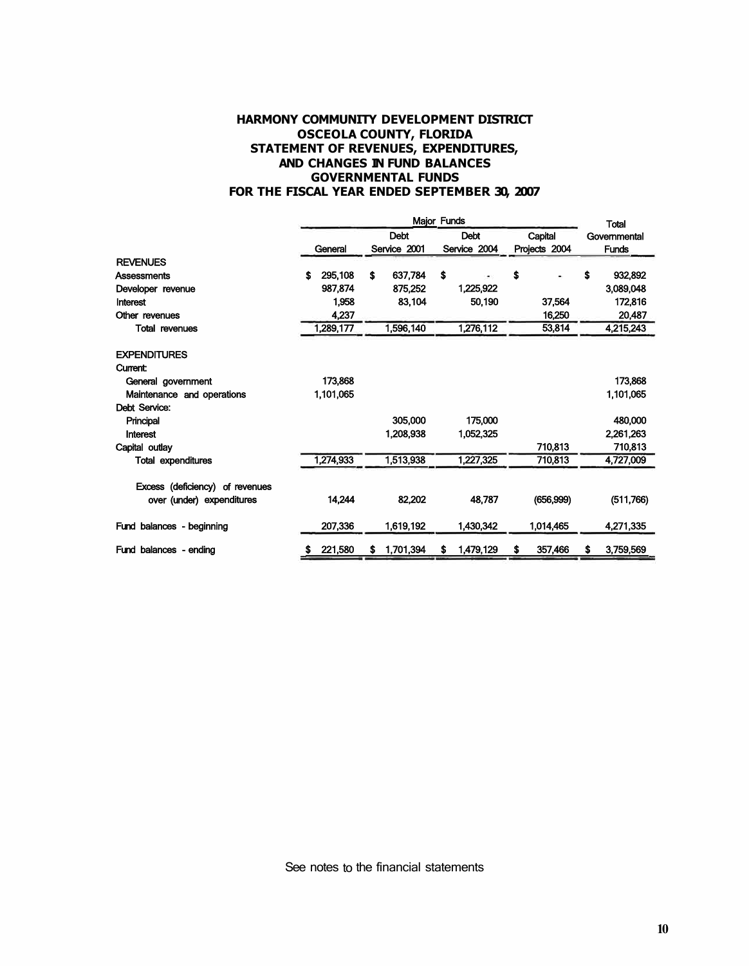# **HARMONY COMMUNITY DEVELOPMENT DISTRICT OSCEOLA COUNTY, FLORIDA STATEMENT OF REVENUES, EXPENDITURES, AND CHANGES IN FUND BALANCES GOVERNMENTAL FUNDS FOR THE FISCAL YEAR ENDED SEPTEMBER 30, 2007**

|                                 |               | <b>Total</b>                |                             |                          |                              |  |
|---------------------------------|---------------|-----------------------------|-----------------------------|--------------------------|------------------------------|--|
|                                 | General       | <b>Debt</b><br>Service 2001 | <b>Debt</b><br>Service 2004 | Capital<br>Projects 2004 | Governmental<br><b>Funds</b> |  |
| <b>REVENUES</b>                 |               |                             |                             |                          |                              |  |
| Assessments                     | 295,108<br>\$ | \$<br>637,784               | \$                          | Ŝ<br>۰                   | \$<br>932,892                |  |
| Developer revenue               | 987.874       | 875,252                     | 1,225,922                   |                          | 3,089,048                    |  |
| Interest                        | 1.958         | 83,104                      | 50,190                      | 37,564                   | 172,816                      |  |
| Other revenues                  | 4,237         |                             |                             | 16,250                   | 20,487                       |  |
| <b>Total revenues</b>           | 1,289,177     | 1,596,140                   | 1,276,112                   | 53,814                   | 4,215,243                    |  |
| <b>EXPENDITURES</b>             |               |                             |                             |                          |                              |  |
| <b>Current:</b>                 |               |                             |                             |                          |                              |  |
| General government              | 173,868       |                             |                             |                          | 173,868                      |  |
| Maintenance and operations      | 1,101,065     |                             |                             |                          | 1,101,065                    |  |
| Debt Service:                   |               |                             |                             |                          |                              |  |
| Principal                       |               | 305,000                     | 175,000                     |                          | 480,000                      |  |
| Interest                        |               | 1,208,938                   | 1,052,325                   |                          | 2,261,263                    |  |
| Capital outlay                  |               |                             |                             | 710,813                  | 710,813                      |  |
| <b>Total expenditures</b>       | 1,274,933     | 1,513,938                   | 1,227,325                   | 710,813                  | 4,727,009                    |  |
| Excess (deficiency) of revenues |               |                             |                             |                          |                              |  |
| over (under) expenditures       | 14,244        | 82,202                      | 48,787                      | (656,999)                | (511,766)                    |  |
| Fund balances - beginning       | 207,336       | 1,619,192                   | 1,430,342                   | 1,014,465                | 4,271,335                    |  |
| Fund balances - ending          | 221,580<br>s  | 1,701,394<br>s              | 1,479,129<br>s              | 357,466<br>S             | 3,759,569<br>S               |  |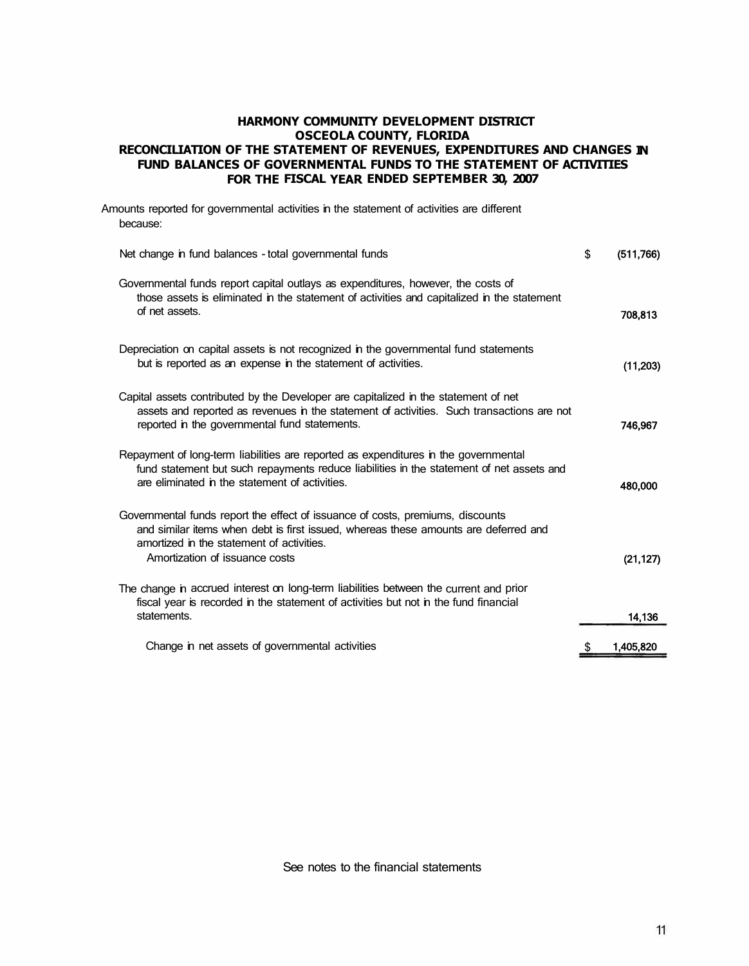# **HARMONY COMMUNITY DEVELOPMENT DISTRICT OSCEOLA COUNTY, FLORIDA RECONCILIATION OF THE STATEMENT OF REVENUES, EXPENDITURES AND CHANGES IN FUND BALANCES OF GOVERNMENTAL FUNDS TO THE STATEMENT OF ACTIVITIES FOR THE FISCAL YEAR ENDED SEPTEMBER 30, 2007**

| Amounts reported for governmental activities in the statement of activities are different<br>because:                                                                                                                                                |                 |
|------------------------------------------------------------------------------------------------------------------------------------------------------------------------------------------------------------------------------------------------------|-----------------|
| Net change in fund balances - total governmental funds                                                                                                                                                                                               | \$<br>(511,766) |
| Governmental funds report capital outlays as expenditures, however, the costs of<br>those assets is eliminated in the statement of activities and capitalized in the statement<br>of net assets.                                                     | 708,813         |
| Depreciation on capital assets is not recognized in the governmental fund statements<br>but is reported as an expense in the statement of activities.                                                                                                | (11, 203)       |
| Capital assets contributed by the Developer are capitalized in the statement of net<br>assets and reported as revenues in the statement of activities. Such transactions are not<br>reported in the governmental fund statements.                    | 746,967         |
| Repayment of long-term liabilities are reported as expenditures in the governmental<br>fund statement but such repayments reduce liabilities in the statement of net assets and<br>are eliminated in the statement of activities.                    | 480,000         |
| Governmental funds report the effect of issuance of costs, premiums, discounts<br>and similar items when debt is first issued, whereas these amounts are deferred and<br>amortized in the statement of activities.<br>Amortization of issuance costs | (21, 127)       |
| The change in accrued interest on long-term liabilities between the current and prior<br>fiscal year is recorded in the statement of activities but not in the fund financial<br>statements.                                                         | 14,136          |
| Change in net assets of governmental activities                                                                                                                                                                                                      | 1,405,820       |

See notes to the financial statements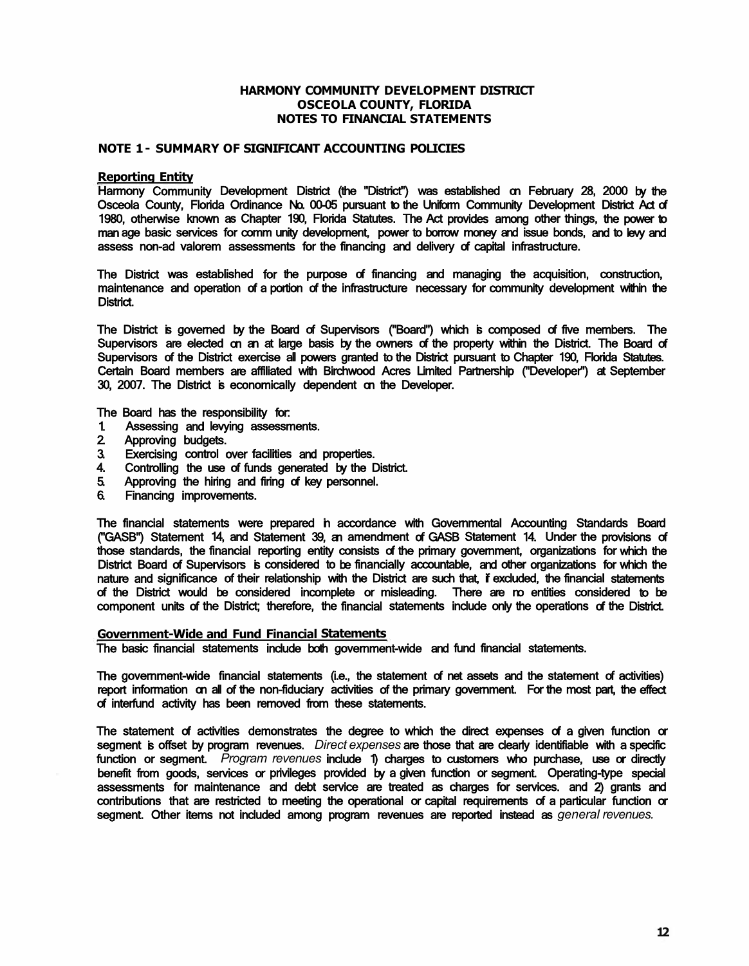### **HARMONY COMMUNITY DEVELOPMENT DISTRICT OSCEOLA COUNTY, FLORIDA NOTES TO FINANCIAL STATEMENTS**

### **NOTE 1 - SUMMARY OF SIGNIFICANT ACCOUNTING POLICIES**

#### **Reporting Entity**

Harmony Community Development District (the "District") was established on February 28, 2000 by the Osceola County, Florida Ordinance No. 00-05 pursuant to the Uniform Community Development District Act of 1980, otherwise known as Chapter 190, Florida Statutes. The Act provides among other things, the power to man age basic services for comm unity development, power to borrow money and issue bonds, and to levy and assess non-ad valorem assessments for the financing and delivery of capital infrastructure.

The District was established for the purpose of financing and managing the acquisition, construction, maintenance and operation of a portion of the infrastructure necessary for community development within the District.

The District is governed by the Board of Supervisors ("Board") which is composed of five members. The Supervisors are elected on an at large basis by the owners of the property within the District. The Board of Supervisors of the District exercise all powers granted to the District pursuant to Chapter 190, Florida Statutes. Certain Board members are affiliated with Birchwood Acres Limited Partnership ("Developer'') at September 30, 2007. The District is economically dependent on the Developer.

The Board has the responsibility for:

- 1. Assessing and levying assessments.<br>2. Approving budgets.
- 2 Approving budgets.<br>3. Exercising control of
- Exercising control over facilities and properties.
- 4. Controlling the use of funds generated by the District.
- 5. Approving the hiring and firing of key personnel.
- 6. Financing improvements.

The financial statements were prepared in accordance with Governmental Accounting Standards Board ("GASB") Statement 14, and Statement 39, an amendment of GASB Statement 14. Under the provisions of those standards, the financial reporting entity consists of the primary government, organizations for which the District Board of Supervisors is considered to be financially accountable, and other organizations for which the nature and significance of their relationship with the District are such that, if excluded, the financial statements of the District would be considered incomplete or misleading. There are no entities considered to be component units of the District; therefore, the financial statements include only the operations of the District.

#### **Government-Wide and Fund Financial Statements**

The basic financial statements include both government-wide and fund financial statements.

The government-wide financial statements (i.e., the statement of net assets and the statement of activities) report information on all of the non-fiduciary activities of the primary government. For the most part, the effect of interfund activity has been removed from these statements.

The statement of activities demonstrates the degree to which the direct expenses of a given function or segment is offset by program revenues. *Direct expenses* are those that are clearly identifiable with a specific function or segment. *Program revenues* include 1) charges to customers who purchase, use or directly benefit from goods, services or privileges provided by a given function or segment. Operating-type special assessments for maintenance and debt service are treated as charges for services. and 2) grants and contributions that are restricted to meeting the operational or capital requirements of a particular function or segment. Other items not included among program revenues are reported instead as *general revenues.*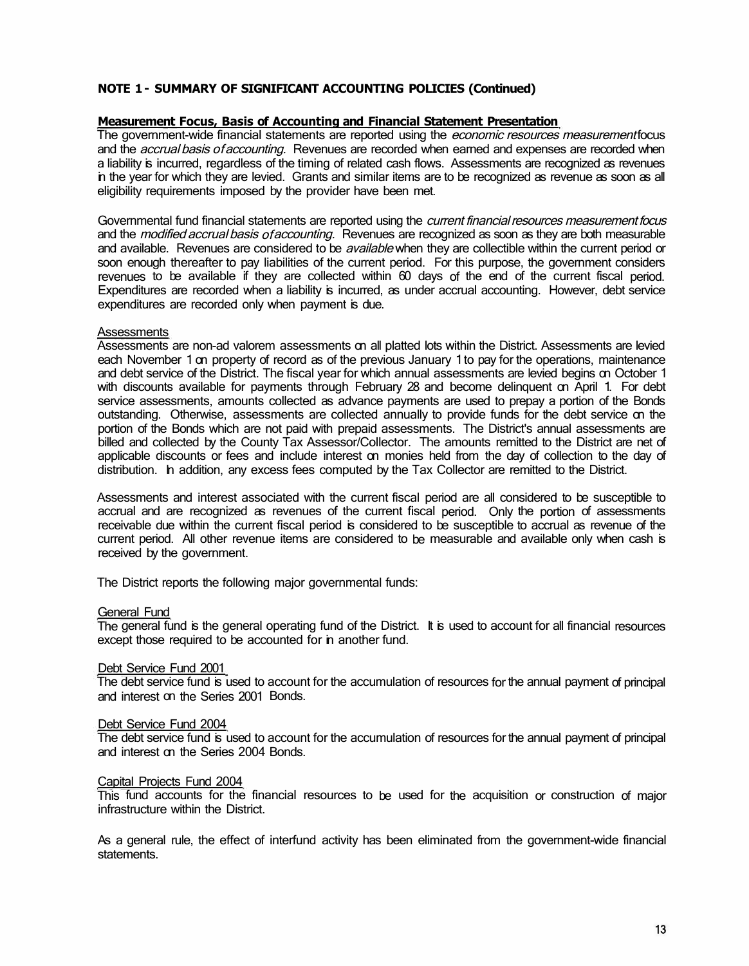# **NOTE 1 - SUMMARY OF SIGNIFICANT ACCOUNTING POLICIES (Continued)**

# **Measurement Focus, Basis of Accounting and Financial Statement Presentation**

The government-wide financial statements are reported using the economic resources measurementfocus and the *accrual basis of accounting*. Revenues are recorded when earned and expenses are recorded when a liability is incurred, regardless of the timing of related cash flows. Assessments are recognized as revenues in the year for which they are levied. Grants and similar items are to be recognized as revenue as soon as all eligibility requirements imposed by the provider have been met.

Governmental fund financial statements are reported using the *current financial resources measurement focus* and the *modified accrual basis of accounting*. Revenues are recognized as soon as they are both measurable and available. Revenues are considered to be *available* when they are collectible within the current period or soon enough thereafter to pay liabilities of the current period. For this purpose, the government considers revenues to be available if they are collected within 60 days of the end of the current fiscal period. Expenditures are recorded when a liability is incurred, as under accrual accounting. However, debt service expenditures are recorded only when payment is due.

### **Assessments**

Assessments are non-ad valorem assessments on all platted lots within the District. Assessments are levied each November 1 on property of record as of the previous January 1 to pay for the operations, maintenance and debt service of the District. The fiscal year for which annual assessments are levied begins on October 1 with discounts available for payments through February 28 and become delinguent on April 1. For debt service assessments, amounts collected as advance payments are used to prepay a portion of the Bonds outstanding. Otherwise, assessments are collected annually to provide funds for the debt service on the portion of the Bonds which are not paid with prepaid assessments. The District's annual assessments are billed and collected by the County Tax Assessor/Collector. The amounts remitted to the District are net of applicable discounts or fees and include interest on monies held from the day of collection to the day of distribution. In addition, any excess fees computed by the Tax Collector are remitted to the District.

Assessments and interest associated with the current fiscal period are all considered to be susceptible to accrual and are recognized as revenues of the current fiscal period. Only the portion of assessments receivable due within the current fiscal period is considered to be susceptible to accrual as revenue of the current period. All other revenue items are considered to be measurable and available only when cash is received by the government.

The District reports the following major governmental funds:

### General Fund

The general fund is the general operating fund of the District. It is used to account for all financial resources except those required to be accounted for in another fund.

### Debt Service Fund 2001

The debt service fund is used to account for the accumulation of resources for the annual payment of principal and interest on the Series 2001 Bonds.

### Debt Service Fund 2004

The debt service fund is used to account for the accumulation of resources for the annual payment of principal and interest on the Series 2004 Bonds.

### Capital Projects Fund 2004

This fund accounts for the financial resources to be used for the acquisition or construction of major infrastructure within the District.

As a general rule, the effect of interfund activity has been eliminated from the government-wide financial statements.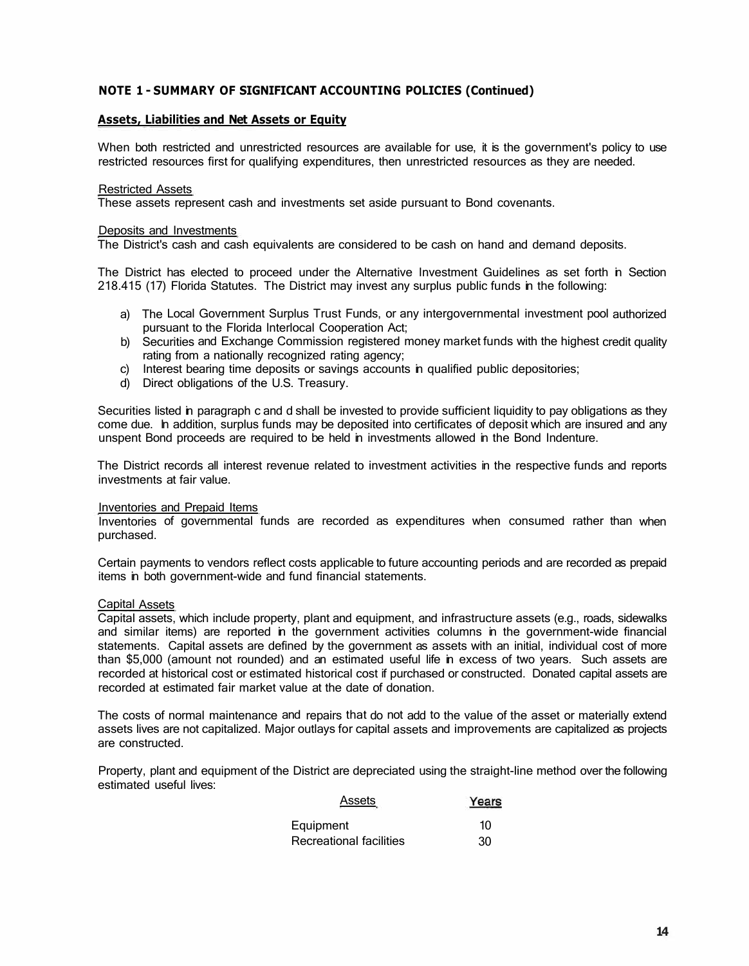# **NOTE 1 - SUMMARY OF SIGNIFICANT ACCOUNTING POLICIES (Continued)**

### **Assets, Liabilities and Net Assets or Equity**

When both restricted and unrestricted resources are available for use, it is the government's policy to use restricted resources first for qualifying expenditures, then unrestricted resources as they are needed.

#### Restricted Assets

These assets represent cash and investments set aside pursuant to Bond covenants.

#### Deposits and Investments

The District's cash and cash equivalents are considered to be cash on hand and demand deposits.

The District has elected to proceed under the Alternative Investment Guidelines as set forth in Section 218.415 (17) Florida Statutes. The District may invest any surplus public funds in the following:

- a) The Local Government Surplus Trust Funds, or any intergovernmental investment pool authorized pursuant to the Florida lnterlocal Cooperation Act;
- b) Securities and Exchange Commission registered money market funds with the highest credit quality rating from a nationally recognized rating agency;
- c) Interest bearing time deposits or savings accounts in qualified public depositories;
- d) Direct obligations of the U.S. Treasury.

Securities listed in paragraph c and d shall be invested to provide sufficient liquidity to pay obligations as they come due. In addition, surplus funds may be deposited into certificates of deposit which are insured and any unspent Bond proceeds are required to be held in investments allowed in the Bond Indenture.

The District records all interest revenue related to investment activities in the respective funds and reports investments at fair value.

### Inventories and Prepaid Items

Inventories of governmental funds are recorded as expenditures when consumed rather than when purchased.

Certain payments to vendors reflect costs applicable to future accounting periods and are recorded as prepaid items in both government-wide and fund financial statements.

#### Capital Assets

Capital assets, which include property, plant and equipment, and infrastructure assets (e.g., roads, sidewalks and similar items) are reported in the government activities columns in the government-wide financial statements. Capital assets are defined by the government as assets with an initial, individual cost of more than \$5,000 (amount not rounded) and an estimated useful life in excess of two years. Such assets are recorded at historical cost or estimated historical cost if purchased or constructed. Donated capital assets are recorded at estimated fair market value at the date of donation.

The costs of normal maintenance and repairs that do not add to the value of the asset or materially extend assets lives are not capitalized. Major outlays for capital assets and improvements are capitalized as projects are constructed.

Property, plant and equipment of the District are depreciated using the straight-line method over the following estimated useful lives:

| Assets                  | Years |
|-------------------------|-------|
| Equipment               | 10    |
| Recreational facilities | 30    |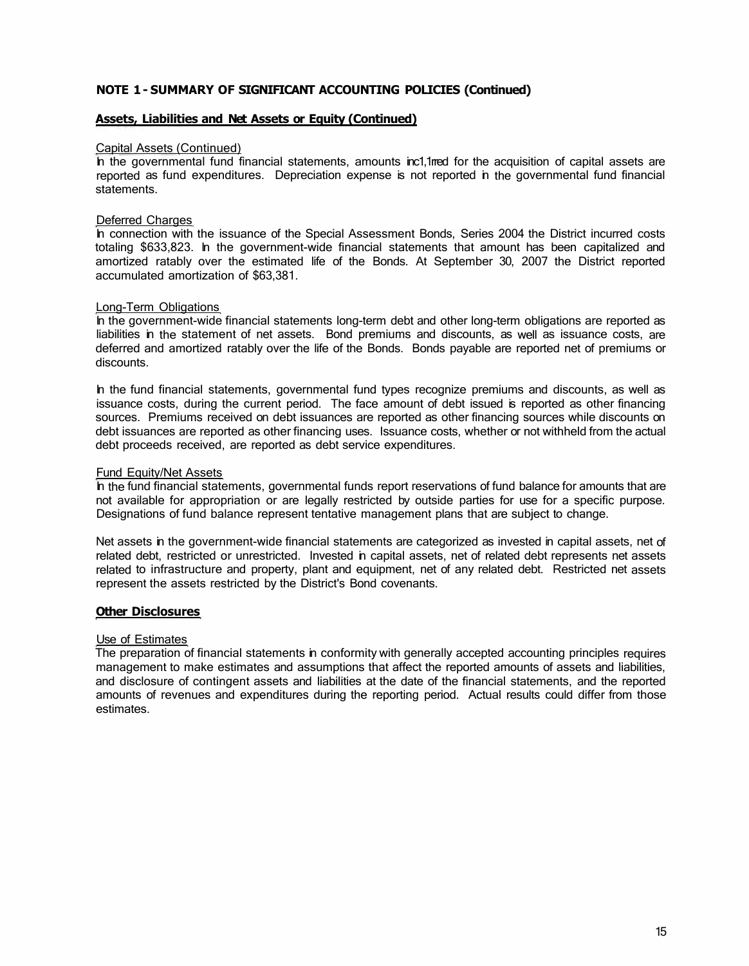# **NOTE 1 - SUMMARY OF SIGNIFICANT ACCOUNTING POLICIES (Continued)**

### **Assets, Liabilities and Net Assets or Equity (Continued)**

#### Capital Assets (Continued)

In the governmental fund financial statements, amounts inc1,1rred for the acquisition of capital assets are reported as fund expenditures. Depreciation expense is not reported in the governmental fund financial statements.

#### Deferred Charges

In connection with the issuance of the Special Assessment Bonds, Series 2004 the District incurred costs totaling \$633,823. In the government-wide financial statements that amount has been capitalized and amortized ratably over the estimated life of the Bonds. At September 30, 2007 the District reported accumulated amortization of \$63,381.

#### Long-Term Obligations

In the government-wide financial statements long-term debt and other long-term obligations are reported as liabilities in the statement of net assets. Bond premiums and discounts, as well as issuance costs, are deferred and amortized ratably over the life of the Bonds. Bonds payable are reported net of premiums or discounts.

In the fund financial statements, governmental fund types recognize premiums and discounts, as well as issuance costs, during the current period. The face amount of debt issued is reported as other financing sources. Premiums received on debt issuances are reported as other financing sources while discounts on debt issuances are reported as other financing uses. Issuance costs, whether or not withheld from the actual debt proceeds received, are reported as debt service expenditures.

### Fund Equity/Net Assets

In the fund financial statements, governmental funds report reservations of fund balance for amounts that are not available for appropriation or are legally restricted by outside parties for use for a specific purpose. Designations of fund balance represent tentative management plans that are subject to change.

Net assets in the government-wide financial statements are categorized as invested in capital assets, net of related debt, restricted or unrestricted. Invested in capital assets, net of related debt represents net assets related to infrastructure and property, plant and equipment, net of any related debt. Restricted net assets represent the assets restricted by the District's Bond covenants.

### **Other Disclosures**

#### Use of Estimates

The preparation of financial statements in conformity with generally accepted accounting principles requires management to make estimates and assumptions that affect the reported amounts of assets and liabilities, and disclosure of contingent assets and liabilities at the date of the financial statements, and the reported amounts of revenues and expenditures during the reporting period. Actual results could differ from those estimates.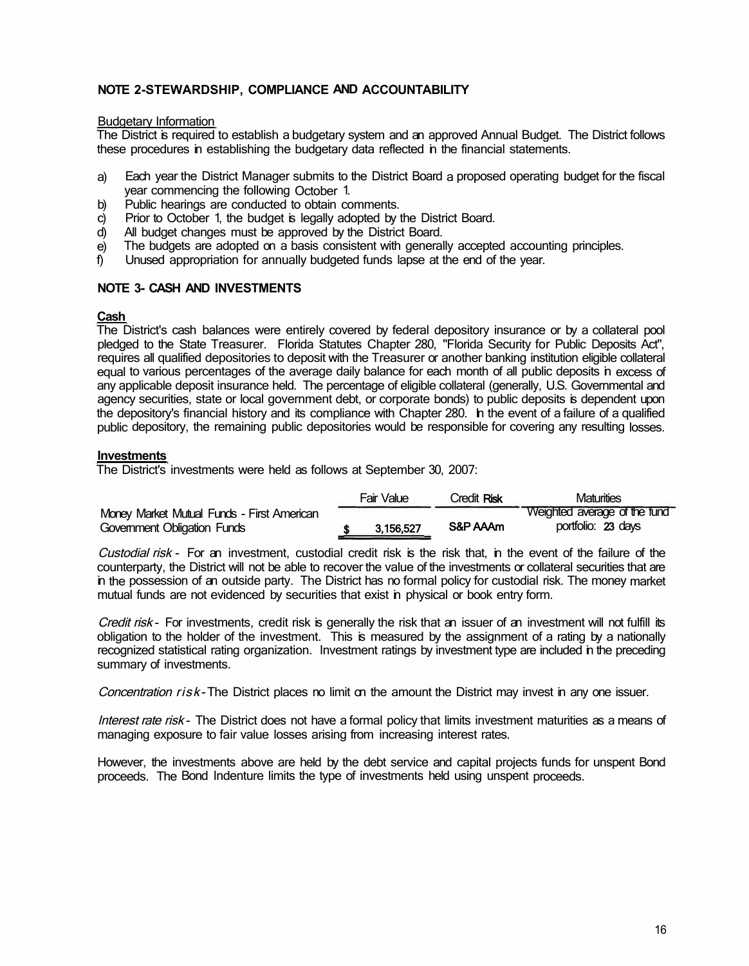# **NOTE 2-STEWARDSHIP, COMPLIANCE AND ACCOUNTABILITY**

### Budgetary Information

The District is required to establish a budgetary system and an approved Annual Budget. The District follows these procedures in establishing the budgetary data reflected in the financial statements.

- a) Each year the District Manager submits to the District Board a proposed operating budget for the fiscal year commencing the following October 1.
- b) Public hearings are conducted to obtain comments.
- c) Prior to October 1, the budget is legally adopted by the District Board.<br>
d) All budget changes must be approved by the District Board.
- All budget changes must be approved by the District Board.
- e) The budgets are adopted on a basis consistent with generally accepted accounting principles.
- f) Unused appropriation for annually budgeted funds lapse at the end of the year.

# **NOTE 3- CASH AND INVESTMENTS**

# **Cash**

The District's cash balances were entirely covered by federal depository insurance or by a collateral pool pledged to the State Treasurer. Florida Statutes Chapter 280, "Florida Security for Public Deposits Act", requires all qualified depositories to deposit with the Treasurer or another banking institution eligible collateral equal to various percentages of the average daily balance for each month of all public deposits in excess of any applicable deposit insurance held. The percentage of eligible collateral (generally, U.S. Governmental and agency securities, state or local government debt, or corporate bonds) to public deposits is dependent upon the depository's financial history and its compliance with Chapter 280. In the event of a failure of a qualified public depository, the remaining public depositories would be responsible for covering any resulting losses.

# **Investments**

The District's investments were held as follows at September 30, 2007:

|                                            | Fair Value | Credit <b>Risk</b> | Maturities                   |
|--------------------------------------------|------------|--------------------|------------------------------|
| Money Market Mutual Funds - First American |            |                    | Weighted average of the fund |
| Government Obligation Funds                | 3,156,527  | S&P AAAm           | portfolio: 23 days           |

Custodial risk - For an investment, custodial credit risk is the risk that, in the event of the failure of the counterparty, the District will not be able to recover the value of the investments or collateral securities that are in the possession of an outside party. The District has no formal policy for custodial risk. The money market mutual funds are not evidenced by securities that exist in physical or book entry form.

Credit risk - For investments, credit risk is generally the risk that an issuer of an investment will not fulfill its obligation to the holder of the investment. This is measured by the assignment of a rating by a nationally recognized statistical rating organization. Investment ratings by investment type are included in the preceding summary of investments.

Concentration risk-The District places no limit on the amount the District may invest in any one issuer.

Interest rate risk - The District does not have a formal policy that limits investment maturities as a means of managing exposure to fair value losses arising from increasing interest rates.

However, the investments above are held by the debt service and capital projects funds for unspent Bond proceeds. The Bond Indenture limits the type of investments held using unspent proceeds.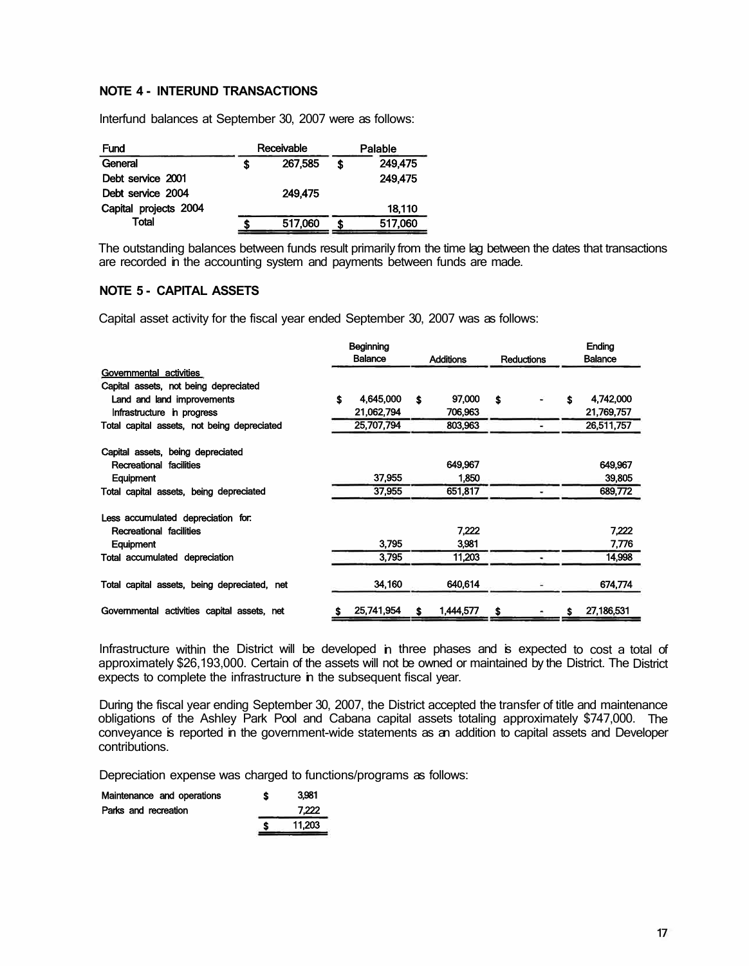### **NOTE 4 - INTERUND TRANSACTIONS**

lnterfund balances at September 30, 2007 were as follows:

| Fund                  | Receivable |  | Palable |
|-----------------------|------------|--|---------|
| General               | 267.585    |  | 249.475 |
| Debt service 2001     |            |  | 249.475 |
| Debt service 2004     | 249.475    |  |         |
| Capital projects 2004 |            |  | 18,110  |
| Total                 | 517,060    |  | 517,060 |

The outstanding balances between funds result primarily from the time lag between the dates that transactions are recorded in the accounting system and payments between funds are made.

# **NOTE 5 - CAPITAL ASSETS**

Capital asset activity for the fiscal year ended September 30, 2007 was as follows:

|                                              | Beginning      |            |    |                  |    |                   |   | <b>Ending</b>  |
|----------------------------------------------|----------------|------------|----|------------------|----|-------------------|---|----------------|
|                                              | <b>Balance</b> |            |    | <b>Additions</b> |    | <b>Reductions</b> |   | <b>Balance</b> |
| Governmental activities                      |                |            |    |                  |    |                   |   |                |
| Capital assets, not being depreciated        |                |            |    |                  |    |                   |   |                |
| Land and land improvements                   | \$             | 4.645.000  | \$ | 97,000           | \$ |                   | S | 4,742,000      |
| Infrastructure in progress                   |                | 21,062,794 |    | 706,963          |    |                   |   | 21,769,757     |
| Total capital assets, not being depreciated  |                | 25,707,794 |    | 803,963          |    |                   |   | 26,511,757     |
| Capital assets, being depreciated            |                |            |    |                  |    |                   |   |                |
| Recreational facilities                      |                |            |    | 649.967          |    |                   |   | 649,967        |
| Equipment                                    |                | 37,955     |    | 1,850            |    |                   |   | 39,805         |
| Total capital assets, being depreciated      |                | 37,955     |    | 651,817          |    |                   |   | 689,772        |
| Less accumulated depreciation for:           |                |            |    |                  |    |                   |   |                |
| Recreational facilities                      |                |            |    | 7.222            |    |                   |   | 7.222          |
| Equipment                                    |                | 3,795      |    | 3.981            |    |                   |   | 7,776          |
| Total accumulated depreciation               |                | 3,795      |    | 11,203           |    |                   |   | 14.998         |
| Total capital assets, being depreciated, net |                | 34,160     |    | 640.614          |    |                   |   | 674,774        |
| Governmental activities capital assets, net  |                | 25,741,954 | \$ | 1,444,577        | s  |                   |   | 27,186,531     |

Infrastructure within the District will be developed in three phases and is expected to cost a total of approximately \$26,193,000. Certain of the assets will not be owned or maintained by the District. The District expects to complete the infrastructure in the subsequent fiscal year.

During the fiscal year ending September 30, 2007, the District accepted the transfer of title and maintenance obligations of the Ashley Park Pool and Cabana capital assets totaling approximately \$747,000. The conveyance is reported in the government-wide statements as an addition to capital assets and Developer contributions.

Depreciation expense was charged to functions/programs as follows:

| Maintenance and operations | S | 3.981  |
|----------------------------|---|--------|
| Parks and recreation       |   | 7.222  |
|                            |   | 11.203 |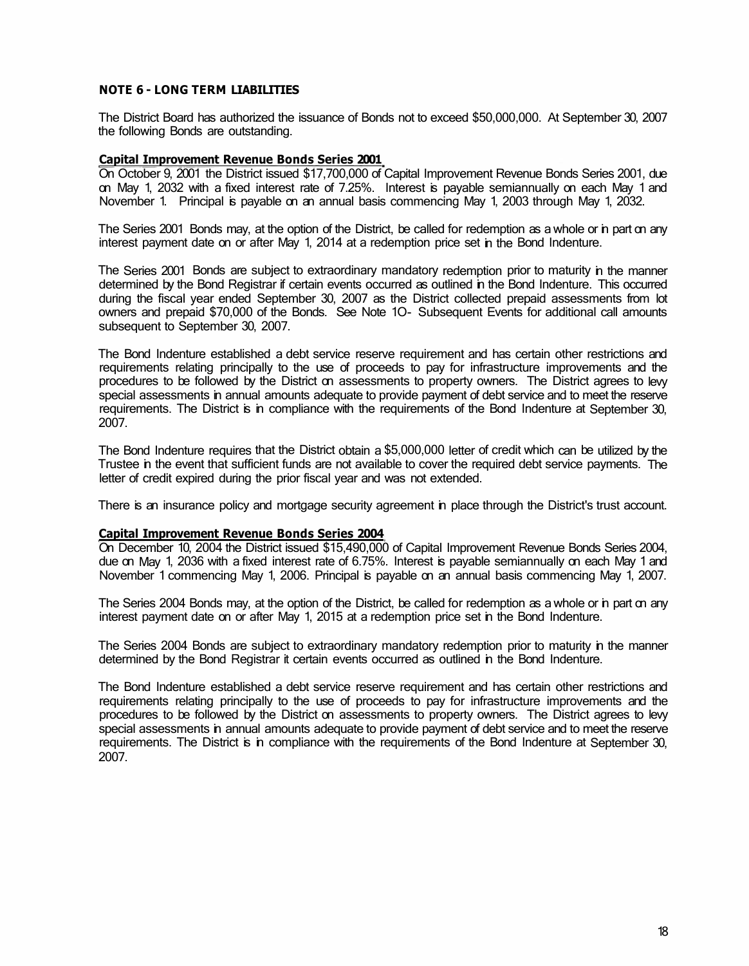# **NOTE 6 - LONG TERM LIABILITIES**

The District Board has authorized the issuance of Bonds not to exceed \$50,000,000. At September 30, 2007 the following Bonds are outstanding.

### **Capital Improvement Revenue Bonds Series 2001**

On October 9, 2001 the District issued \$17,700,000 of Capital Improvement Revenue Bonds Series 2001, due on May 1, 2032 with a fixed interest rate of 7.25%. Interest is payable semiannually on each May 1 and November 1. Principal is payable on an annual basis commencing May 1, 2003 through May 1, 2032.

The Series 2001 Bonds may, at the option of the District, be called for redemption as a whole or in part on any interest payment date on or after May 1, 2014 at a redemption price set in the Bond Indenture.

The Series 2001 Bonds are subject to extraordinary mandatory redemption prior to maturity in the manner determined by the Bond Registrar if certain events occurred as outlined in the Bond Indenture. This occurred during the fiscal year ended September 30, 2007 as the District collected prepaid assessments from lot owners and prepaid \$70,000 of the Bonds. See Note 1O- Subsequent Events for additional call amounts subsequent to September 30, 2007.

The Bond Indenture established a debt service reserve requirement and has certain other restrictions and requirements relating principally to the use of proceeds to pay for infrastructure improvements and the procedures to be followed by the District on assessments to property owners. The District agrees to levy special assessments in annual amounts adequate to provide payment of debt service and to meet the reserve requirements. The District is in compliance with the requirements of the Bond Indenture at September 30, 2007.

The Bond Indenture requires that the District obtain a \$5,000,000 letter of credit which can be utilized by the Trustee in the event that sufficient funds are not available to cover the required debt service payments. The letter of credit expired during the prior fiscal year and was not extended.

There is an insurance policy and mortgage security agreement in place through the District's trust account.

#### **Capital Improvement Revenue Bonds Series 2004**

On December 10, 2004 the District issued \$15,490,000 of Capital Improvement Revenue Bonds Series 2004, due on May 1, 2036 with a fixed interest rate of 6.75%. Interest is payable semiannually on each May 1 and November 1 commencing May 1, 2006. Principal is payable on an annual basis commencing May 1, 2007.

The Series 2004 Bonds may, at the option of the District, be called for redemption as a whole or in part on any interest payment date on or after May 1, 2015 at a redemption price set in the Bond Indenture.

The Series 2004 Bonds are subject to extraordinary mandatory redemption prior to maturity in the manner determined by the Bond Registrar it certain events occurred as outlined in the Bond Indenture.

The Bond Indenture established a debt service reserve requirement and has certain other restrictions and requirements relating principally to the use of proceeds to pay for infrastructure improvements and the procedures to be followed by the District on assessments to property owners. The District agrees to levy special assessments in annual amounts adequate to provide payment of debt service and to meet the reserve requirements. The District is in compliance with the requirements of the Bond Indenture at September 30, 2007.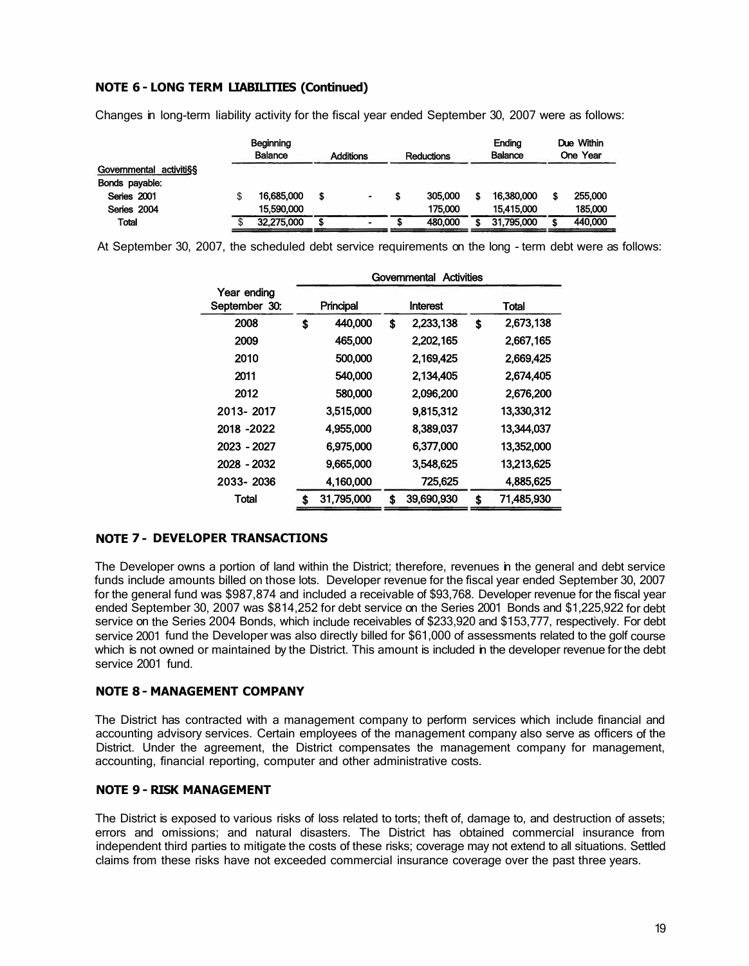# **NOTE 6 - LONG TERM LIABILITIES (Continued)**

Changes in long-term liability activity for the fiscal year ended September 30, 2007 were as follows:

|                         | <b>Beginning</b><br>Balance<br><b>Additions</b><br><b>Reductions</b> |  | Ending<br><b>Balance</b> |         | Due Within<br>One Year |            |  |         |
|-------------------------|----------------------------------------------------------------------|--|--------------------------|---------|------------------------|------------|--|---------|
| Governmental activiti§§ |                                                                      |  |                          |         |                        |            |  |         |
| Bonds payable:          |                                                                      |  |                          |         |                        |            |  |         |
| Series 2001             | 16,685,000                                                           |  | ٠                        | 305,000 |                        | 16,380,000 |  | 255,000 |
| Series 2004             | 15,590,000                                                           |  |                          | 175,000 |                        | 15,415,000 |  | 185,000 |
| <b>Total</b>            | 32,275,000                                                           |  |                          | 480,000 |                        | 31,795,000 |  | 440,000 |

At September 30, 2007, the scheduled debt service requirements on the long - term debt were as follows:

|                              | Activities<br>Governmental |            |    |            |    |            |  |  |
|------------------------------|----------------------------|------------|----|------------|----|------------|--|--|
| Year ending<br>September 30: | Principal                  |            |    | Interest   |    | Total      |  |  |
| 2008                         | \$                         | 440,000    | \$ | 2,233,138  | \$ | 2,673,138  |  |  |
| 2009                         |                            | 465,000    |    | 2,202,165  |    | 2,667,165  |  |  |
| 2010                         |                            | 500,000    |    | 2.169.425  |    | 2,669,425  |  |  |
| 2011                         |                            | 540,000    |    | 2,134,405  |    | 2,674,405  |  |  |
| 2012                         | 580,000                    |            |    | 2,096,200  |    | 2,676,200  |  |  |
| 2013-2017                    |                            | 3,515,000  |    | 9,815,312  |    | 13,330,312 |  |  |
| 2018 -2022                   |                            | 4.955,000  |    | 8.389,037  |    | 13,344,037 |  |  |
| 2023 - 2027                  |                            | 6.975,000  |    | 6.377.000  |    | 13,352,000 |  |  |
| 2028 - 2032                  |                            | 9,665,000  |    | 3,548,625  |    | 13,213,625 |  |  |
| 2033-2036                    |                            | 4,160,000  |    | 725,625    |    | 4,885,625  |  |  |
| Total                        |                            | 31,795,000 | S  | 39,690,930 | \$ | 71,485,930 |  |  |

# **NOTE 7 - DEVELOPER TRANSACTIONS**

The Developer owns a portion of land within the District; therefore, revenues in the general and debt service funds include amounts billed on those lots. Developer revenue for the fiscal year ended September 30, 2007 for the general fund was \$987,874 and included a receivable of \$93,768. Developer revenue for the fiscal year ended September 30, 2007 was \$814,252 for debt service on the Series 2001 Bonds and \$1,225,922 for debt service on the Series 2004 Bonds, which include receivables of \$233,920 and \$153,777, respectively. For debt service 2001 fund the Developer was also directly billed for \$61,000 of assessments related to the golf course which is not owned or maintained by the District. This amount is included in the developer revenue for the debt service 2001 fund.

# **NOTE 8 - MANAGEMENT COMPANY**

The District has contracted with a management company to perform services which include financial and accounting advisory services. Certain employees of the management company also serve as officers of the District. Under the agreement, the District compensates the management company for management, accounting, financial reporting, computer and other administrative costs.

# **NOTE 9 - RISK MANAGEMENT**

The District is exposed to various risks of loss related to torts; theft of, damage to, and destruction of assets; errors and omissions; and natural disasters. The District has obtained commercial insurance from independent third parties to mitigate the costs of these risks; coverage may not extend to all situations. Settled claims from these risks have not exceeded commercial insurance coverage over the past three years.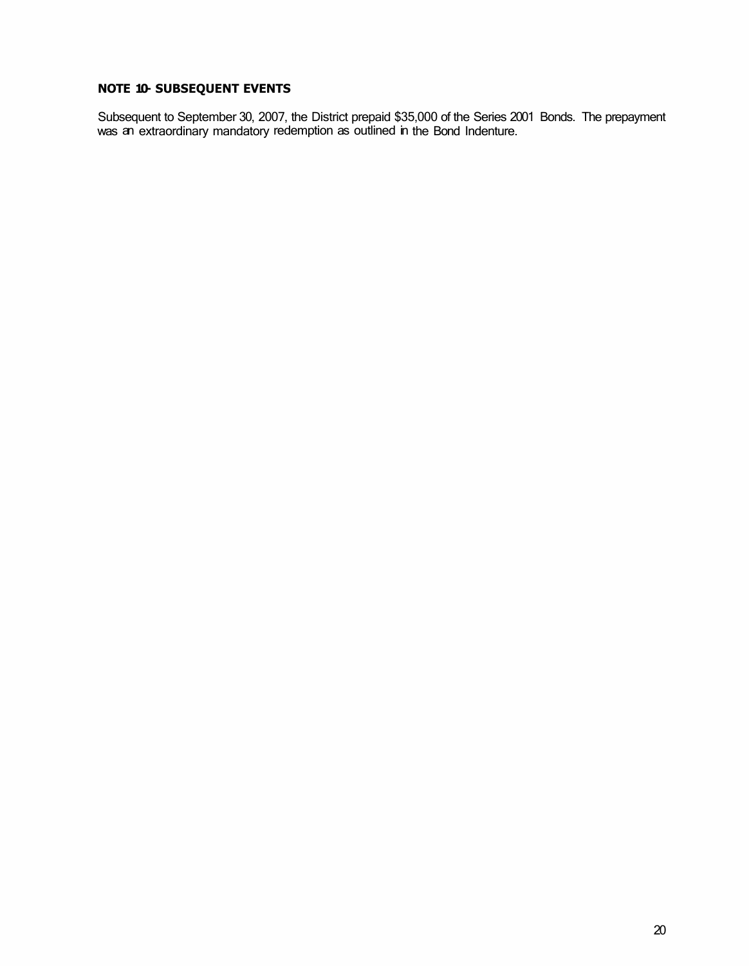# **NOTE 10- SUBSEQUENT EVENTS**

Subsequent to September 30, 2007, the District prepaid \$35,000 of the Series 2001 Bonds. The prepayment was an extraordinary mandatory redemption as outlined in the Bond Indenture.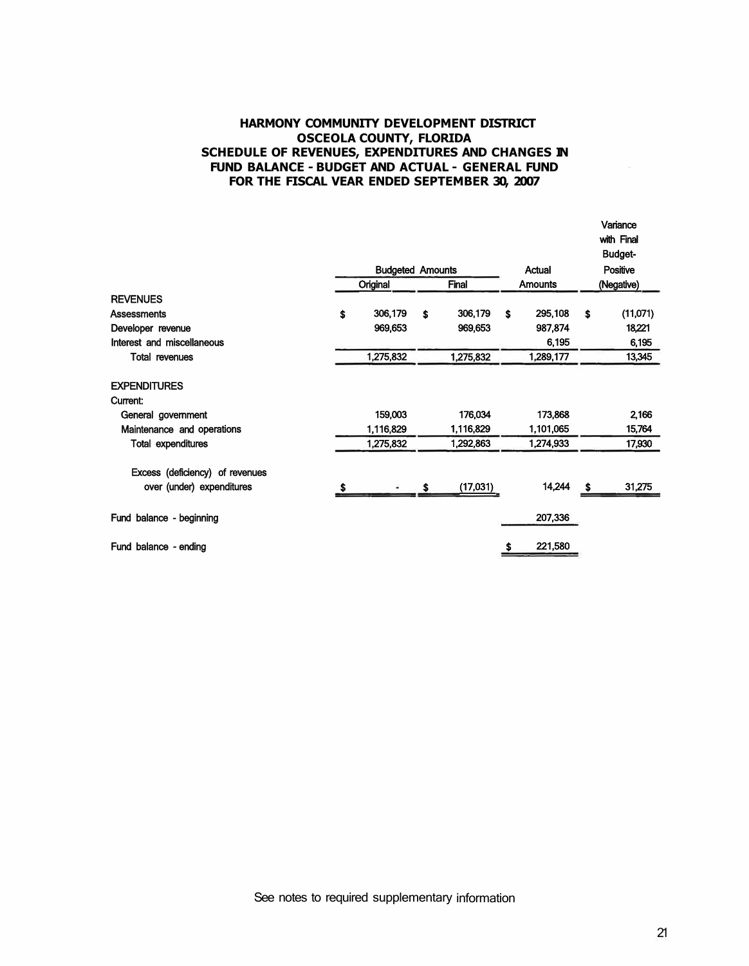# **HARMONY COMMUNITY DEVELOPMENT DISTRICT OSCEOLA COUNTY, FLORIDA SCHEDULE OF REVENUES, EXPENDITURES AND CHANGES IN FUND BALANCE - BUDGET AND ACTUAL - GENERAL FUND FOR THE FISCAL VEAR ENDED SEPTEMBER 30, 2007**

|                                 |   |                         |               |     |                |    | Variance<br>with Final<br><b>Budget-</b> |
|---------------------------------|---|-------------------------|---------------|-----|----------------|----|------------------------------------------|
|                                 |   | <b>Budgeted Amounts</b> |               |     | Actual         |    | <b>Positive</b>                          |
|                                 |   | Original                | Final         |     | <b>Amounts</b> |    | (Negative)                               |
| <b>REVENUES</b>                 |   |                         |               |     |                |    |                                          |
| <b>Assessments</b>              | Ŝ | 306,179                 | \$<br>306,179 | \$. | 295,108        | \$ | (11,071)                                 |
| Developer revenue               |   | 969,653                 | 969,653       |     | 987,874        |    | 18,221                                   |
| Interest and miscellaneous      |   |                         |               |     | 6,195          |    | 6,195                                    |
| <b>Total revenues</b>           |   | 1,275,832               | 1,275,832     |     | 1,289,177      |    | 13,345                                   |
| <b>EXPENDITURES</b>             |   |                         |               |     |                |    |                                          |
| Current:                        |   |                         |               |     |                |    |                                          |
| General government              |   | 159,003                 | 176,034       |     | 173,868        |    | 2,166                                    |
| Maintenance and operations      |   | 1,116,829               | 1,116,829     |     | 1,101,065      |    | 15,764                                   |
| <b>Total expenditures</b>       |   | 1,275,832               | 1,292,863     |     | 1,274,933      |    | 17,930                                   |
| Excess (deficiency) of revenues |   |                         |               |     |                |    |                                          |
| over (under) expenditures       |   |                         | (17,031)      |     | 14,244         | S. | 31,275                                   |
| Fund balance - beginning        |   |                         |               |     | 207,336        |    |                                          |
| Fund balance - ending           |   |                         |               | \$  | 221,580        |    |                                          |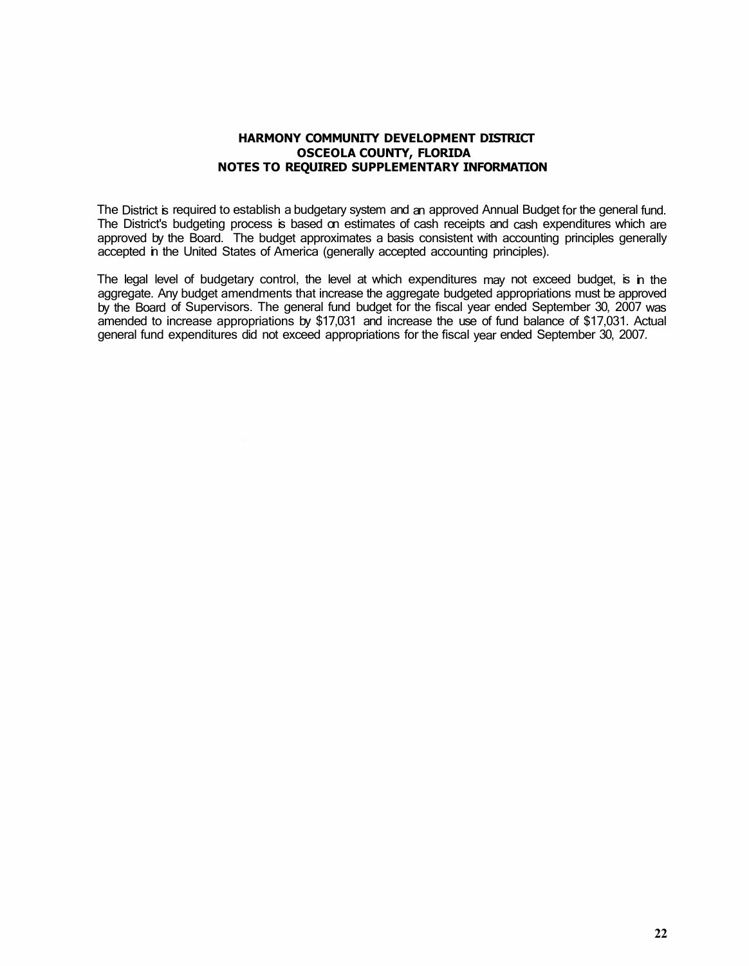### **HARMONY COMMUNITY DEVELOPMENT DISTRICT OSCEOLA COUNTY, FLORIDA NOTES TO REQUIRED SUPPLEMENTARY INFORMATION**

The District is required to establish a budgetary system and an approved Annual Budget for the general fund. The District's budgeting process is based on estimates of cash receipts and cash expenditures which are approved by the Board. The budget approximates a basis consistent with accounting principles generally accepted in the United States of America (generally accepted accounting principles).

The legal level of budgetary control, the level at which expenditures may not exceed budget, is in the aggregate. Any budget amendments that increase the aggregate budgeted appropriations must be approved by the Board of Supervisors. The general fund budget for the fiscal year ended September 30, 2007 was amended to increase appropriations by \$17,031 and increase the use of fund balance of \$17,031. Actual general fund expenditures did not exceed appropriations for the fiscal year ended September 30, 2007.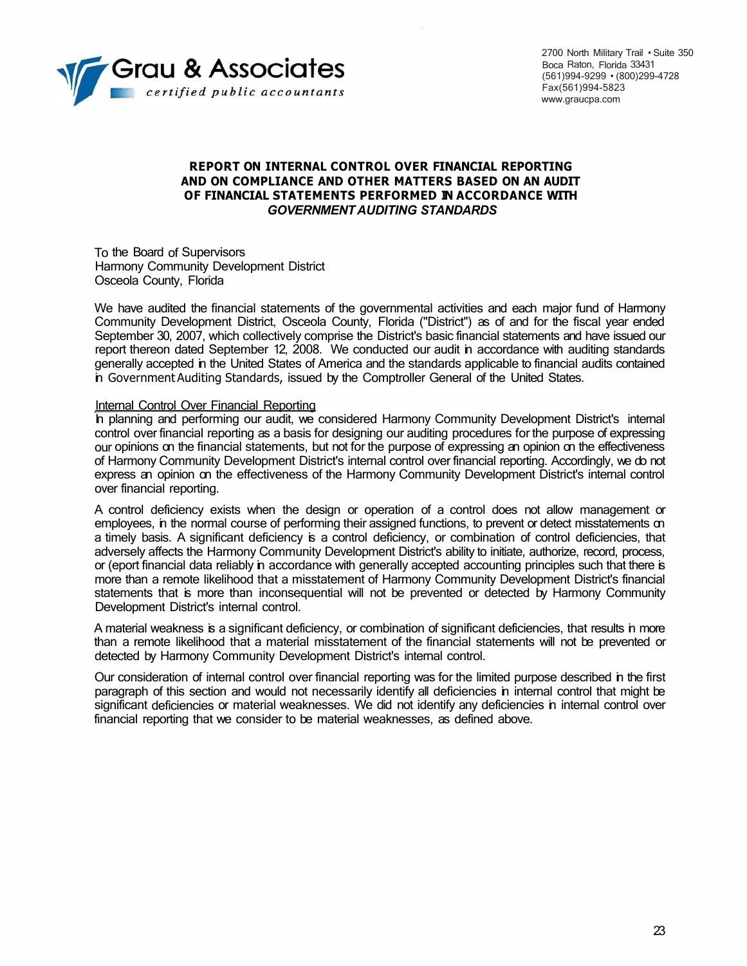

2700 North Military Trail • Suite 350 Boca Raton, Florida 33431 (561)994-9299 • (800)299-4728 Fax(561)994-5823 www.graucpa.com

# **REPORT ON INTERNAL CONTROL OVER FINANCIAL REPORTING AND ON COMPLIANCE AND OTHER MATTERS BASED ON AN AUDIT OF FINANCIAL STATEMENTS PERFORMED IN ACCORDANCE WITH**  *GOVERNMENT AUDITING STANDARDS*

To the Board of Supervisors Harmony Community Development District Osceola County, Florida

We have audited the financial statements of the governmental activities and each major fund of Harmony Community Development District, Osceola County, Florida ("District'') as of and for the fiscal year ended September 30, 2007, which collectively comprise the District's basic financial statements and have issued our report thereon dated September 12, 2008. We conducted our audit in accordance with auditing standards generally accepted in the United States of America and the standards applicable to financial audits contained in Government Auditing Standards, issued by the Comptroller General of the United States.

### Internal Control Over Financial Reporting

In planning and performing our audit, we considered Harmony Community Development District's internal control over financial reporting as a basis for designing our auditing procedures for the purpose of expressing our opinions on the financial statements, but not for the purpose of expressing an opinion on the effectiveness of Harmony Community Development District's internal control over financial reporting. Accordingly, we do not express an opinion on the effectiveness of the Harmony Community Development District's internal control over financial reporting.

A control deficiency exists when the design or operation of a control does not allow management or employees, in the normal course of performing their assigned functions, to prevent or detect misstatements on a timely basis. A significant deficiency is a control deficiency, or combination of control deficiencies, that adversely affects the Harmony Community Development District's ability to initiate, authorize, record, process, or (eport financial data reliably in accordance with generally accepted accounting principles such that there is more than a remote likelihood that a misstatement of Harmony Community Development District's financial statements that is more than inconsequential will not be prevented or detected by Harmony Community Development District's internal control.

A material weakness is a significant deficiency, or combination of significant deficiencies, that results in more than a remote likelihood that a material misstatement of the financial statements will not be prevented or detected by Harmony Community Development District's internal control.

Our consideration of internal control over financial reporting was for the limited purpose described in the first paragraph of this section and would not necessarily identify all deficiencies in internal control that might be significant deficiencies or material weaknesses. We did not identify any deficiencies in internal control over financial reporting that we consider to be material weaknesses, as defined above.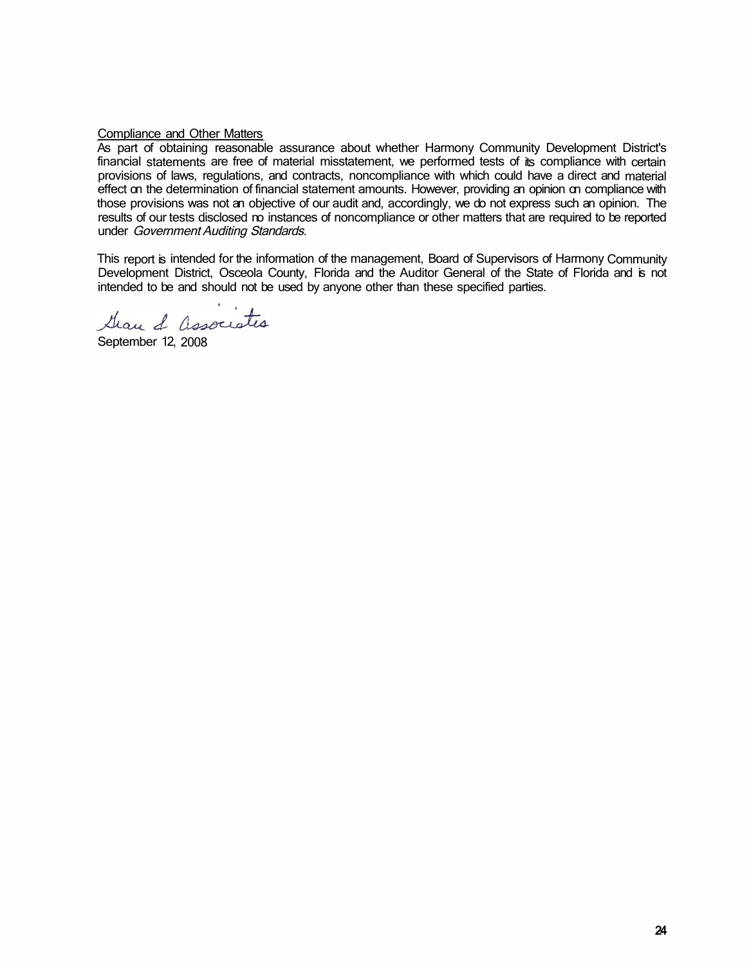# Compliance and Other Matters

As part of obtaining reasonable assurance about whether Harmony Community Development District's financial statements are free of material misstatement, we performed tests of its compliance with certain provisions of laws, regulations, and contracts, noncompliance with which could have a direct and material effect on the determination of financial statement amounts. However, providing an opinion on compliance with those provisions was not an objective of our audit and, accordingly, we do not express such an opinion. The results of our tests disclosed no instances of noncompliance or other matters that are required to be reported under Government Auditing Standards.

This report is intended for the information of the management, Board of Supervisors of Harmony Community Development District, Osceola County, Florida and the Auditor General of the State of Florida and is not intended to be and should not be used by anyone other than these specified parties.

Gran & associates

September 12, 2008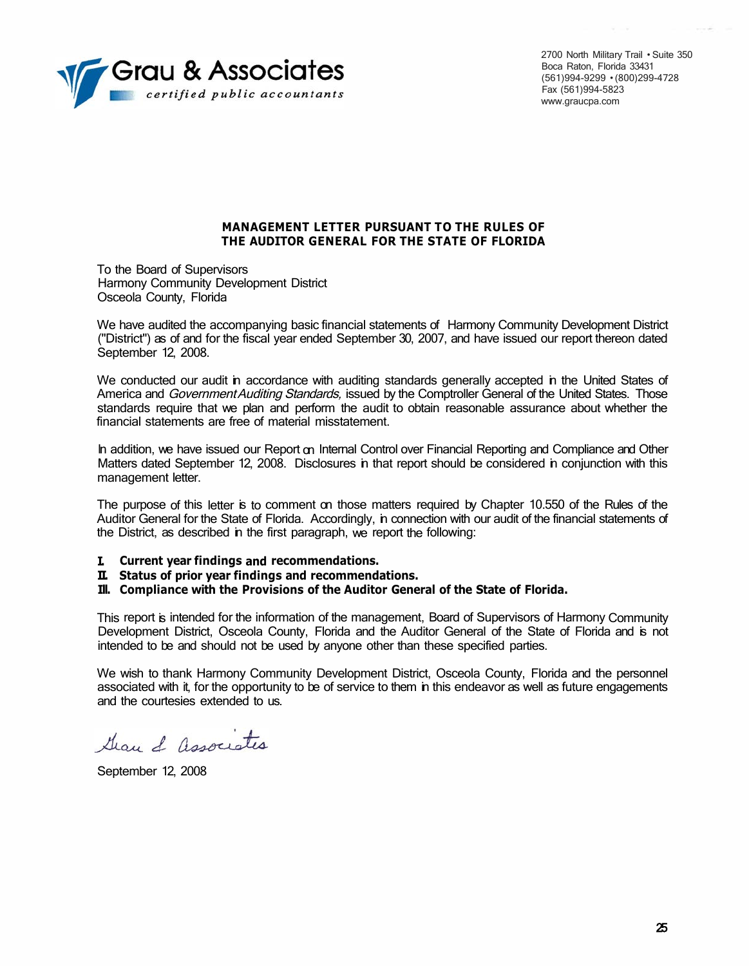

2700 North Military Trail • Suite 350 Boca Raton, Florida 33431 (561)994-9299 • (800)299-4728 Fax (561)994-5823 www.graucpa.com

### **MANAGEMENT LETTER PURSUANT TO THE RULES OF THE AUDITOR GENERAL FOR THE STATE OF FLORIDA**

To the Board of Supervisors Harmony Community Development District Osceola County, Florida

We have audited the accompanying basic financial statements of Harmony Community Development District ("District") as of and for the fiscal year ended September 30, 2007, and have issued our report thereon dated September 12, 2008.

We conducted our audit in accordance with auditing standards generally accepted in the United States of America and Government Auditing Standards, issued by the Comptroller General of the United States. Those standards require that we plan and perform the audit to obtain reasonable assurance about whether the financial statements are free of material misstatement.

In addition, we have issued our Report on Internal Control over Financial Reporting and Compliance and Other Matters dated September 12, 2008. Disclosures in that report should be considered in conjunction with this management letter.

The purpose of this letter is to comment on those matters required by Chapter 10.550 of the Rules of the Auditor General for the State of Florida. Accordingly, in connection with our audit of the financial statements of the District, as described in the first paragraph, we report the following:

- **I. Current year findings and recommendations.**
- **II. Status of prior year findings and recommendations.**
- **Ill. Compliance with the Provisions of the Auditor General of the State of Florida.**

This report is intended for the information of the management, Board of Supervisors of Harmony Community Development District, Osceola County, Florida and the Auditor General of the State of Florida and is not intended to be and should not be used by anyone other than these specified parties.

We wish to thank Harmony Community Development District, Osceola County, Florida and the personnel associated with it, for the opportunity to be of service to them in this endeavor as well as future engagements and the courtesies extended to us.

Gran & associates

September 12, 2008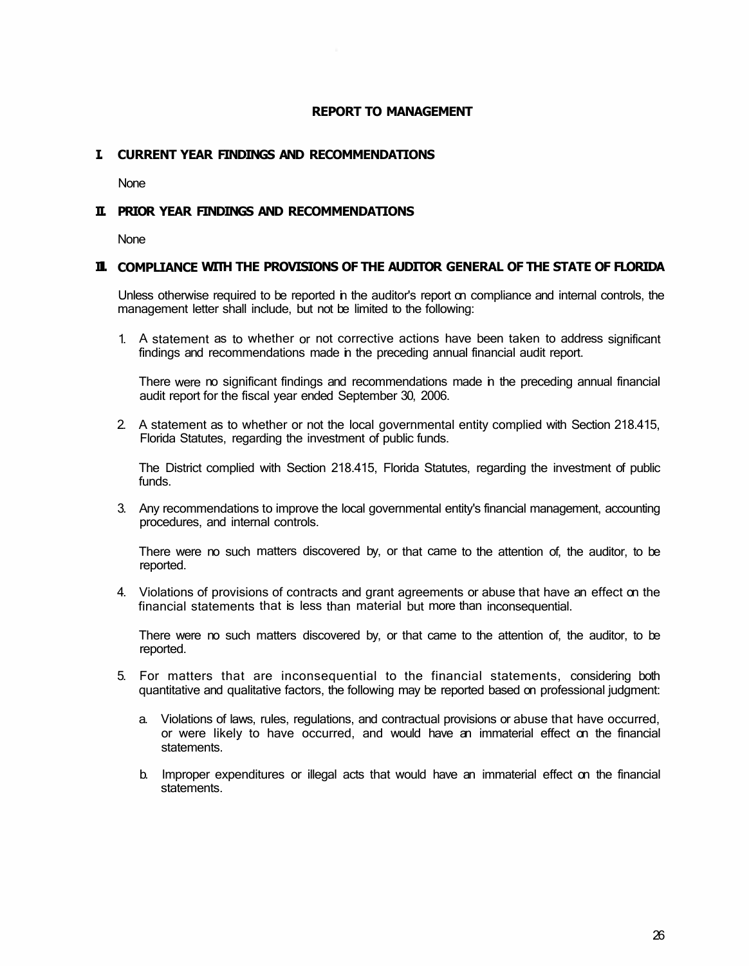# **REPORT TO MANAGEMENT**

# **I. CURRENT YEAR FINDINGS AND RECOMMENDATIONS**

None

# **II. PRIOR YEAR FINDINGS AND RECOMMENDATIONS**

None

### **Ill. COMPLIANCE WITH THE PROVISIONS OF THE AUDITOR GENERAL OF THE STATE OF FLORIDA**

Unless otherwise required to be reported in the auditor's report on compliance and internal controls, the management letter shall include, but not be limited to the following:

1. A statement as to whether or not corrective actions have been taken to address significant findings and recommendations made in the preceding annual financial audit report.

There were no significant findings and recommendations made in the preceding annual financial audit report for the fiscal year ended September 30, 2006.

2. A statement as to whether or not the local governmental entity complied with Section 218.415, Florida Statutes, regarding the investment of public funds.

The District complied with Section 218.415, Florida Statutes, regarding the investment of public funds.

3. Any recommendations to improve the local governmental entity's financial management, accounting procedures, and internal controls.

There were no such matters discovered by, or that came to the attention of, the auditor, to be reported.

4. Violations of provisions of contracts and grant agreements or abuse that have an effect on the financial statements that is less than material but more than inconsequential.

There were no such matters discovered by, or that came to the attention of, the auditor, to be reported.

- 5. For matters that are inconsequential to the financial statements, considering both quantitative and qualitative factors, the following may be reported based on professional judgment:
	- a. Violations of laws, rules, regulations, and contractual provisions or abuse that have occurred, or were likely to have occurred, and would have an immaterial effect on the financial statements.
	- b. Improper expenditures or illegal acts that would have an immaterial effect on the financial statements.